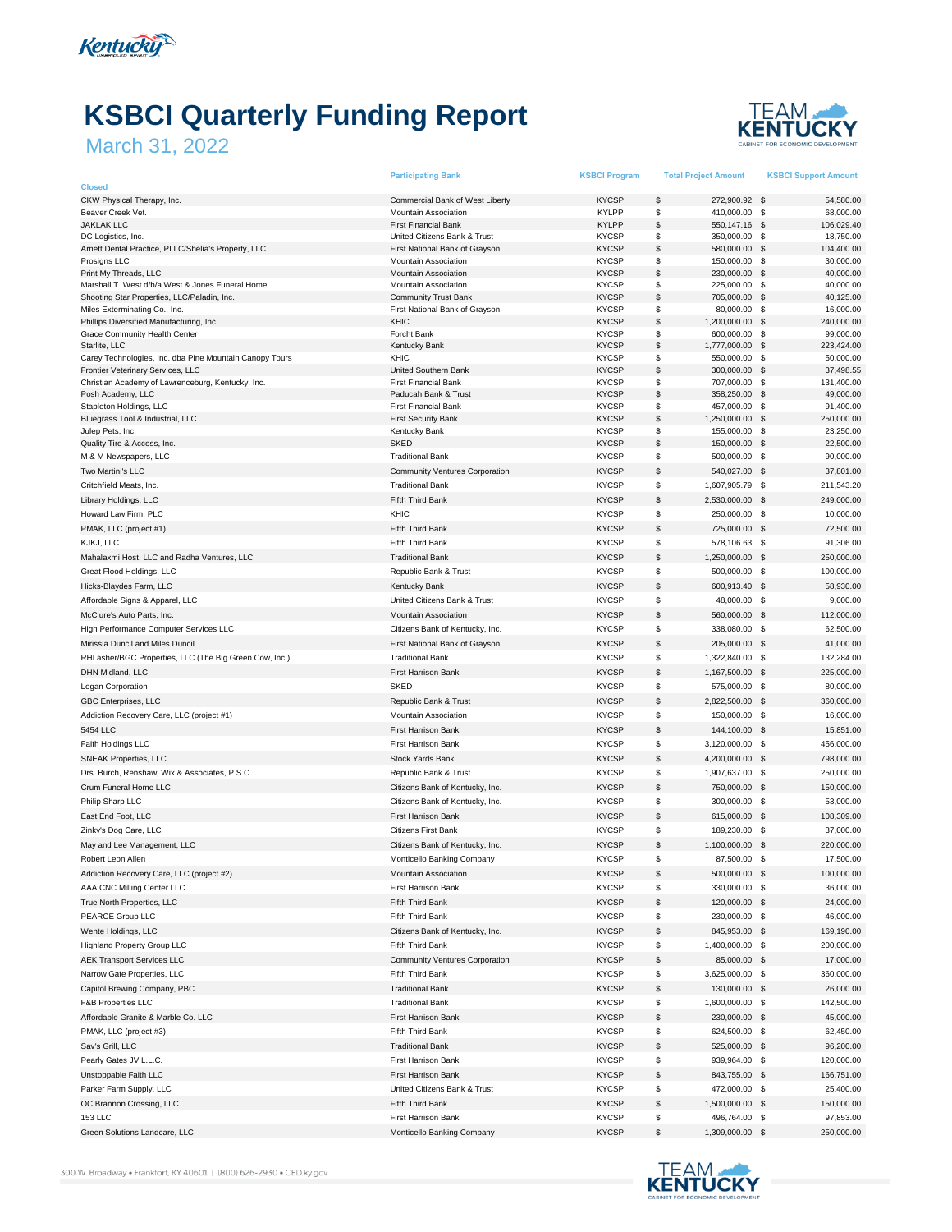

## **KSBCI Quarterly Funding Report**

## March 31, 2022



|                                                                                                 | <b>Participating Bank</b>                                  | <b>KSBCI Program</b>         | <b>Total Project Amount</b>          | <b>KSBCI Support Amount</b>           |
|-------------------------------------------------------------------------------------------------|------------------------------------------------------------|------------------------------|--------------------------------------|---------------------------------------|
| <b>Closed</b><br>CKW Physical Therapy, Inc.                                                     | Commercial Bank of West Liberty                            | <b>KYCSP</b>                 | \$<br>272,900.92 \$                  | 54,580.00                             |
| Beaver Creek Vet.                                                                               | <b>Mountain Association</b>                                | <b>KYLPP</b>                 | \$<br>410,000.00                     | \$<br>68,000.00                       |
| <b>JAKLAK LLC</b>                                                                               | <b>First Financial Bank</b>                                | <b>KYLPP</b>                 | \$<br>550,147.16                     | \$<br>106,029.40                      |
| DC Logistics, Inc.                                                                              | United Citizens Bank & Trust                               | <b>KYCSP</b>                 | \$<br>350,000.00                     | -\$<br>18,750.00                      |
| Arnett Dental Practice, PLLC/Shelia's Property, LLC                                             | First National Bank of Grayson                             | <b>KYCSP</b>                 | \$<br>580,000.00                     | 104,400.00<br>- \$                    |
| Prosigns LLC                                                                                    | Mountain Association                                       | <b>KYCSP</b>                 | \$<br>150,000.00                     | 30,000.00<br>- \$                     |
| Print My Threads, LLC                                                                           | Mountain Association                                       | <b>KYCSP</b>                 | \$<br>230,000.00                     | 40,000.00<br>\$                       |
| Marshall T. West d/b/a West & Jones Funeral Home<br>Shooting Star Properties, LLC/Paladin, Inc. | <b>Mountain Association</b><br><b>Community Trust Bank</b> | <b>KYCSP</b><br><b>KYCSP</b> | \$<br>225,000.00<br>\$<br>705,000.00 | -\$<br>40,000.00<br>- \$<br>40,125.00 |
| Miles Exterminating Co., Inc.                                                                   | First National Bank of Grayson                             | <b>KYCSP</b>                 | \$<br>80,000.00                      | \$<br>16,000.00                       |
| Phillips Diversified Manufacturing, Inc.                                                        | KHIC                                                       | <b>KYCSP</b>                 | \$<br>1,200,000.00                   | 240,000.00<br>\$                      |
| Grace Community Health Center                                                                   | Forcht Bank                                                | <b>KYCSP</b>                 | \$<br>600,000.00                     | 99,000.00<br>-\$                      |
| Starlite, LLC                                                                                   | <b>Kentucky Bank</b>                                       | <b>KYCSP</b>                 | \$<br>1,777,000.00                   | \$<br>223,424.00                      |
| Carey Technologies, Inc. dba Pine Mountain Canopy Tours                                         | KHIC                                                       | <b>KYCSP</b>                 | \$<br>550,000.00                     | \$<br>50,000.00                       |
| Frontier Veterinary Services, LLC                                                               | United Southern Bank                                       | <b>KYCSP</b>                 | \$<br>300,000.00                     | \$<br>37,498.55                       |
| Christian Academy of Lawrenceburg, Kentucky, Inc.<br>Posh Academy, LLC                          | <b>First Financial Bank</b><br>Paducah Bank & Trust        | <b>KYCSP</b><br><b>KYCSP</b> | \$<br>707,000.00<br>\$<br>358,250.00 | -\$<br>131,400.00<br>49,000.00<br>\$  |
| Stapleton Holdings, LLC                                                                         | <b>First Financial Bank</b>                                | <b>KYCSP</b>                 | \$<br>457,000.00                     | - \$<br>91,400.00                     |
| Bluegrass Tool & Industrial, LLC                                                                | <b>First Security Bank</b>                                 | <b>KYCSP</b>                 | \$<br>1,250,000.00                   | - \$<br>250,000.00                    |
| Julep Pets, Inc.                                                                                | Kentucky Bank                                              | <b>KYCSP</b>                 | \$<br>155,000.00                     | 23,250.00<br>\$                       |
| Quality Tire & Access, Inc.                                                                     | <b>SKED</b>                                                | <b>KYCSP</b>                 | \$<br>150,000.00                     | \$<br>22,500.00                       |
| M & M Newspapers, LLC                                                                           | <b>Traditional Bank</b>                                    | <b>KYCSP</b>                 | \$<br>500,000.00 \$                  | 90,000.00                             |
| Two Martini's LLC                                                                               | <b>Community Ventures Corporation</b>                      | <b>KYCSP</b>                 | \$<br>540,027.00                     | 37,801.00<br>\$                       |
| Critchfield Meats, Inc.                                                                         | <b>Traditional Bank</b>                                    | <b>KYCSP</b>                 | \$<br>1,607,905.79 \$                | 211,543.20                            |
| Library Holdings, LLC                                                                           | Fifth Third Bank                                           | <b>KYCSP</b>                 | \$<br>2,530,000.00                   | 249,000.00<br>- \$                    |
| Howard Law Firm, PLC                                                                            | KHIC                                                       | <b>KYCSP</b>                 | \$<br>250,000.00                     | \$<br>10,000.00                       |
| PMAK, LLC (project #1)                                                                          | Fifth Third Bank                                           | <b>KYCSP</b>                 | \$<br>725,000.00                     | $\mathbf s$<br>72,500.00              |
| KJKJ, LLC                                                                                       | Fifth Third Bank                                           | <b>KYCSP</b>                 | \$<br>578,106.63 \$                  | 91,306.00                             |
| Mahalaxmi Host, LLC and Radha Ventures, LLC                                                     | <b>Traditional Bank</b>                                    | <b>KYCSP</b>                 | \$<br>1,250,000.00                   | \$<br>250,000.00                      |
| Great Flood Holdings, LLC                                                                       | Republic Bank & Trust                                      | <b>KYCSP</b>                 | \$<br>500,000.00                     | - \$<br>100,000.00                    |
| Hicks-Blaydes Farm, LLC                                                                         | <b>Kentucky Bank</b>                                       | <b>KYCSP</b>                 | \$<br>600,913.40                     | $\mathbf s$<br>58,930.00              |
| Affordable Signs & Apparel, LLC                                                                 | United Citizens Bank & Trust                               | <b>KYCSP</b>                 | \$<br>48,000.00                      | -\$<br>9.000.00                       |
|                                                                                                 |                                                            |                              |                                      |                                       |
| McClure's Auto Parts, Inc.                                                                      | Mountain Association                                       | <b>KYCSP</b>                 | \$<br>560,000.00                     | $\mathbf s$<br>112,000.00             |
| High Performance Computer Services LLC                                                          | Citizens Bank of Kentucky, Inc.                            | <b>KYCSP</b>                 | \$<br>338,080.00                     | 62,500.00<br><b>S</b>                 |
| Mirissia Duncil and Miles Duncil                                                                | First National Bank of Grayson                             | <b>KYCSP</b>                 | \$<br>205,000.00 \$                  | 41,000.00                             |
| RHLasher/BGC Properties, LLC (The Big Green Cow, Inc.)                                          | <b>Traditional Bank</b>                                    | <b>KYCSP</b>                 | \$<br>1,322,840.00                   | 132,284.00<br>$\mathbb{S}$            |
| DHN Midland, LLC                                                                                | First Harrison Bank                                        | <b>KYCSP</b>                 | \$<br>1,167,500.00                   | \$<br>225,000.00                      |
| Logan Corporation                                                                               | <b>SKED</b>                                                | <b>KYCSP</b>                 | \$<br>575,000.00                     | - \$<br>80,000.00                     |
| GBC Enterprises, LLC                                                                            | Republic Bank & Trust                                      | <b>KYCSP</b>                 | \$<br>2,822,500.00                   | <b>S</b><br>360,000.00                |
| Addiction Recovery Care, LLC (project #1)                                                       | Mountain Association                                       | <b>KYCSP</b>                 | \$<br>150,000.00                     | \$<br>16,000.00                       |
| 5454 LLC                                                                                        | <b>First Harrison Bank</b>                                 | <b>KYCSP</b>                 | \$<br>144,100.00                     | - \$<br>15,851.00                     |
| Faith Holdings LLC                                                                              | First Harrison Bank                                        | <b>KYCSP</b>                 | \$<br>3,120,000.00 \$                | 456,000.00                            |
| <b>SNEAK Properties, LLC</b>                                                                    | Stock Yards Bank                                           | <b>KYCSP</b>                 | \$<br>4,200,000.00                   | \$<br>798,000.00                      |
| Drs. Burch, Renshaw, Wix & Associates, P.S.C.                                                   | Republic Bank & Trust                                      | <b>KYCSP</b>                 | \$<br>1,907,637.00                   | 250,000.00<br>- \$                    |
| Crum Funeral Home LLC                                                                           | Citizens Bank of Kentucky, Inc.                            | <b>KYCSP</b>                 | \$<br>750,000.00                     | \$<br>150,000.00                      |
| Philip Sharp LLC                                                                                | Citizens Bank of Kentucky, Inc.                            | <b>KYCSP</b>                 | \$<br>300,000.00 \$                  | 53,000.00                             |
| East End Foot, LLC                                                                              | First Harrison Bank                                        | <b>KYCSP</b>                 | \$<br>615,000.00                     | - \$<br>108,309.00                    |
| Zinky's Dog Care, LLC                                                                           | <b>Citizens First Bank</b>                                 | <b>KYCSP</b>                 | \$<br>189,230.00 \$                  | 37,000.00                             |
| May and Lee Management, LLC                                                                     | Citizens Bank of Kentucky, Inc.                            | <b>KYCSP</b>                 | \$<br>1,100,000.00                   | -\$<br>220,000.00                     |
| Robert Leon Allen                                                                               | Monticello Banking Company                                 | <b>KYCSP</b>                 | \$<br>87,500.00 \$                   | 17,500.00                             |
| Addiction Recovery Care, LLC (project #2)                                                       | Mountain Association                                       | KYCSP                        | \$<br>500,000.00                     | - \$<br>100,000.00                    |
| AAA CNC Milling Center LLC                                                                      | First Harrison Bank                                        | <b>KYCSP</b>                 | \$<br>330,000.00 \$                  | 36,000.00                             |
| True North Properties, LLC                                                                      | Fifth Third Bank                                           | <b>KYCSP</b>                 | \$<br>120,000.00 \$                  | 24,000.00                             |
| PEARCE Group LLC                                                                                | Fifth Third Bank                                           | <b>KYCSP</b>                 | \$<br>230,000.00 \$                  | 46,000.00                             |
|                                                                                                 |                                                            |                              | \$                                   |                                       |
| Wente Holdings, LLC                                                                             | Citizens Bank of Kentucky, Inc.                            | <b>KYCSP</b>                 | 845,953.00 \$                        | 169,190.00                            |
| Highland Property Group LLC                                                                     | Fifth Third Bank                                           | <b>KYCSP</b>                 | \$<br>1,400,000.00 \$                | 200,000.00                            |
| <b>AEK Transport Services LLC</b>                                                               | <b>Community Ventures Corporation</b>                      | <b>KYCSP</b>                 | \$<br>85,000.00 \$                   | 17,000.00                             |
| Narrow Gate Properties, LLC                                                                     | Fifth Third Bank                                           | <b>KYCSP</b>                 | \$<br>3,625,000.00 \$                | 360,000.00                            |
| Capitol Brewing Company, PBC                                                                    | <b>Traditional Bank</b>                                    | <b>KYCSP</b>                 | \$<br>130,000.00 \$                  | 26,000.00                             |
| <b>F&amp;B Properties LLC</b>                                                                   | <b>Traditional Bank</b>                                    | <b>KYCSP</b>                 | \$<br>1,600,000.00 \$                | 142,500.00                            |
| Affordable Granite & Marble Co. LLC                                                             | First Harrison Bank                                        | <b>KYCSP</b>                 | \$<br>230,000.00 \$                  | 45,000.00                             |
| PMAK, LLC (project #3)                                                                          | Fifth Third Bank                                           | <b>KYCSP</b>                 | \$<br>624,500.00 \$                  | 62,450.00                             |
| Sav's Grill, LLC                                                                                | <b>Traditional Bank</b>                                    | <b>KYCSP</b>                 | \$<br>525,000.00 \$                  | 96,200.00                             |
| Pearly Gates JV L.L.C.                                                                          | First Harrison Bank                                        | <b>KYCSP</b>                 | \$<br>939,964.00 \$                  | 120,000.00                            |
| Unstoppable Faith LLC                                                                           | First Harrison Bank                                        | <b>KYCSP</b>                 | \$<br>843,755.00 \$                  | 166,751.00                            |
| Parker Farm Supply, LLC                                                                         | United Citizens Bank & Trust                               | <b>KYCSP</b>                 | \$<br>472,000.00 \$                  | 25,400.00                             |
| OC Brannon Crossing, LLC                                                                        | Fifth Third Bank                                           | <b>KYCSP</b>                 | \$<br>1,500,000.00                   | 150,000.00<br>- \$                    |
| 153 LLC                                                                                         | First Harrison Bank                                        | <b>KYCSP</b>                 | \$<br>496,764.00 \$                  | 97,853.00                             |
| Green Solutions Landcare, LLC                                                                   | Monticello Banking Company                                 | <b>KYCSP</b>                 | \$<br>1,309,000.00 \$                | 250,000.00                            |



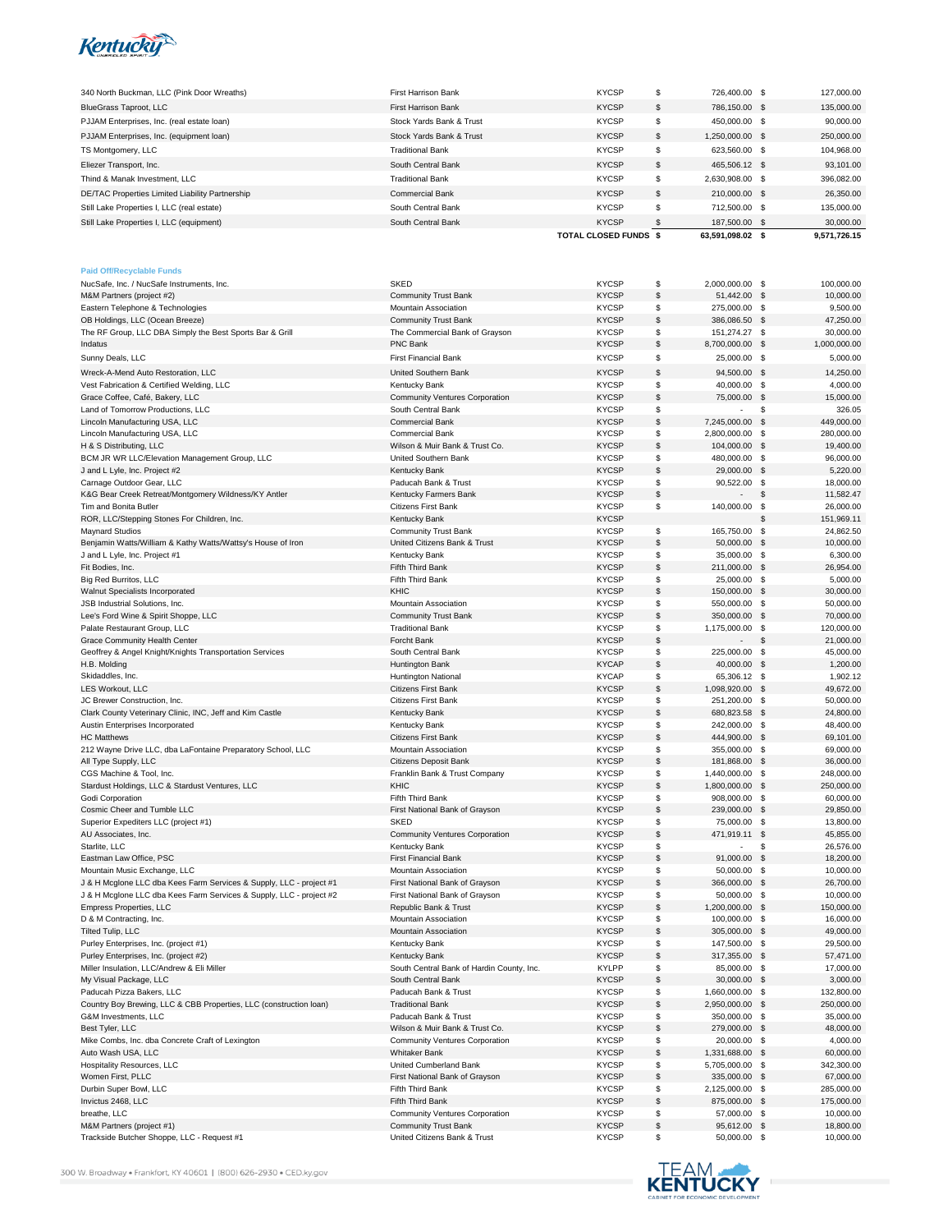

| 340 North Buckman, LLC (Pink Door Wreaths)      | <b>First Harrison Bank</b> | <b>KYCSP</b>                 |     | 726.400.00 \$    | 127,000.00   |
|-------------------------------------------------|----------------------------|------------------------------|-----|------------------|--------------|
| BlueGrass Taproot, LLC                          | <b>First Harrison Bank</b> | <b>KYCSP</b>                 | S   | 786.150.00 \$    | 135,000,00   |
| PJJAM Enterprises, Inc. (real estate loan)      | Stock Yards Bank & Trust   | <b>KYCSP</b>                 |     | 450,000,00 \$    | 90.000.00    |
| PJJAM Enterprises, Inc. (equipment loan)        | Stock Yards Bank & Trust   | <b>KYCSP</b>                 | S   | 1,250,000.00 \$  | 250,000.00   |
| TS Montgomery, LLC                              | <b>Traditional Bank</b>    | <b>KYCSP</b>                 |     | 623.560.00 \$    | 104.968.00   |
| Eliezer Transport, Inc.                         | South Central Bank         | <b>KYCSP</b>                 | S   | 465.506.12 \$    | 93.101.00    |
| Thind & Manak Investment, LLC                   | <b>Traditional Bank</b>    | <b>KYCSP</b>                 | S   | 2.630.908.00 \$  | 396,082.00   |
| DE/TAC Properties Limited Liability Partnership | <b>Commercial Bank</b>     | <b>KYCSP</b>                 | S   | 210,000,00 \$    | 26,350.00    |
| Still Lake Properties I, LLC (real estate)      | South Central Bank         | <b>KYCSP</b>                 | \$. | 712,500.00 \$    | 135,000.00   |
| Still Lake Properties I, LLC (equipment)        | South Central Bank         | <b>KYCSP</b>                 |     | 187,500,00 \$    | 30,000.00    |
|                                                 |                            | <b>TOTAL CLOSED FUNDS \$</b> |     | 63.591.098.02 \$ | 9.571.726.15 |

| <b>Paid Off/Recyclable Funds</b>                                    |                                                             |                              |             |                              |            |                        |
|---------------------------------------------------------------------|-------------------------------------------------------------|------------------------------|-------------|------------------------------|------------|------------------------|
| NucSafe, Inc. / NucSafe Instruments, Inc.                           | <b>SKED</b>                                                 | <b>KYCSP</b>                 | \$          | 2,000,000.00 \$              |            | 100,000.00             |
| M&M Partners (project #2)                                           | <b>Community Trust Bank</b>                                 | <b>KYCSP</b>                 | \$          | 51,442.00                    | - \$       | 10,000.00              |
| Eastern Telephone & Technologies                                    | <b>Mountain Association</b>                                 | <b>KYCSP</b>                 | \$          | 275,000.00 \$                |            | 9,500.00               |
| OB Holdings, LLC (Ocean Breeze)                                     | <b>Community Trust Bank</b>                                 | <b>KYCSP</b>                 | \$          | 386,086.50 \$                |            | 47,250.00              |
| The RF Group, LLC DBA Simply the Best Sports Bar & Grill            | The Commercial Bank of Grayson                              | <b>KYCSP</b>                 | \$          | 151,274.27                   | - \$       | 30,000.00              |
| Indatus                                                             | PNC Bank                                                    | <b>KYCSP</b>                 | \$          | 8,700,000.00 \$              |            | 1,000,000.00           |
|                                                                     | <b>First Financial Bank</b>                                 |                              | \$          |                              |            |                        |
| Sunny Deals, LLC                                                    |                                                             | <b>KYCSP</b>                 |             | 25,000.00 \$                 |            | 5,000.00               |
| Wreck-A-Mend Auto Restoration, LLC                                  | United Southern Bank                                        | <b>KYCSP</b>                 | \$          | 94,500.00 \$                 |            | 14,250.00              |
| Vest Fabrication & Certified Welding, LLC                           | Kentucky Bank                                               | <b>KYCSP</b>                 | \$          | 40,000.00 \$                 |            | 4,000.00               |
| Grace Coffee, Café, Bakery, LLC                                     | <b>Community Ventures Corporation</b>                       | <b>KYCSP</b>                 | \$          | 75,000.00 \$                 |            | 15,000.00              |
| Land of Tomorrow Productions, LLC                                   | South Central Bank                                          | <b>KYCSP</b>                 | \$          | $\overline{\phantom{a}}$     | \$         | 326.05                 |
| Lincoln Manufacturing USA, LLC                                      | <b>Commercial Bank</b>                                      | <b>KYCSP</b>                 | \$          | 7,245,000.00 \$              |            | 449,000.00             |
| Lincoln Manufacturing USA, LLC                                      | <b>Commercial Bank</b>                                      | <b>KYCSP</b>                 | \$          | 2,800,000.00                 | \$         | 280,000.00             |
| H & S Distributing, LLC                                             | Wilson & Muir Bank & Trust Co.                              | <b>KYCSP</b>                 | \$          | 104,000.00 \$                |            | 19,400.00              |
| BCM JR WR LLC/Elevation Management Group, LLC                       | United Southern Bank                                        | <b>KYCSP</b>                 | \$          | 480,000.00                   | - \$       | 96,000.00              |
|                                                                     |                                                             |                              |             |                              |            |                        |
| J and L Lyle, Inc. Project #2                                       | <b>Kentucky Bank</b>                                        | <b>KYCSP</b>                 | \$          | 29,000.00 \$                 |            | 5,220.00               |
| Carnage Outdoor Gear, LLC                                           | Paducah Bank & Trust                                        | <b>KYCSP</b>                 | \$          | 90,522.00 \$                 |            | 18,000.00              |
| K&G Bear Creek Retreat/Montgomery Wildness/KY Antler                | Kentucky Farmers Bank                                       | <b>KYCSP</b>                 | \$          |                              | \$         | 11,582.47              |
| Tim and Bonita Butler                                               | Citizens First Bank                                         | <b>KYCSP</b>                 | \$          | 140,000.00 \$                |            | 26,000.00              |
| ROR, LLC/Stepping Stones For Children, Inc.                         | <b>Kentucky Bank</b>                                        | <b>KYCSP</b>                 |             |                              | S          | 151,969.11             |
| <b>Maynard Studios</b>                                              | <b>Community Trust Bank</b>                                 | <b>KYCSP</b>                 | \$          | 165,750.00                   | \$         | 24,862.50              |
| Benjamin Watts/William & Kathy Watts/Wattsy's House of Iron         | United Citizens Bank & Trust                                | <b>KYCSP</b>                 | \$          | 50,000.00                    | \$         | 10,000.00              |
| J and L Lyle, Inc. Project #1                                       | Kentucky Bank                                               | <b>KYCSP</b>                 | \$          | 35,000.00                    | - \$       | 6,300.00               |
| Fit Bodies, Inc.                                                    | Fifth Third Bank                                            | <b>KYCSP</b>                 | \$          | 211,000.00 \$                |            | 26,954.00              |
| Big Red Burritos, LLC                                               | Fifth Third Bank                                            | <b>KYCSP</b>                 | \$          | 25,000.00                    | - \$       | 5,000.00               |
|                                                                     |                                                             |                              | \$          |                              |            |                        |
| Walnut Specialists Incorporated                                     | KHIC                                                        | <b>KYCSP</b>                 |             | 150,000.00 \$                |            | 30,000.00              |
| JSB Industrial Solutions, Inc.                                      | Mountain Association                                        | <b>KYCSP</b>                 | \$          | 550,000.00 \$                |            | 50,000.00              |
| Lee's Ford Wine & Spirit Shoppe, LLC                                | <b>Community Trust Bank</b>                                 | <b>KYCSP</b>                 | \$          | 350,000.00 \$                |            | 70,000.00              |
| Palate Restaurant Group, LLC                                        | <b>Traditional Bank</b>                                     | <b>KYCSP</b>                 | \$          | 1,175,000.00 \$              |            | 120,000.00             |
| Grace Community Health Center                                       | Forcht Bank                                                 | <b>KYCSP</b>                 | \$          |                              | \$         | 21,000.00              |
| Geoffrey & Angel Knight/Knights Transportation Services             | South Central Bank                                          | <b>KYCSP</b>                 | \$          | 225,000.00                   | \$         | 45,000.00              |
| H.B. Molding                                                        | Huntington Bank                                             | <b>KYCAP</b>                 | \$          | 40,000.00 \$                 |            | 1,200.00               |
| Skidaddles, Inc.                                                    | <b>Huntington National</b>                                  | <b>KYCAP</b>                 | \$          | 65,306.12 \$                 |            | 1,902.12               |
| LES Workout, LLC                                                    | Citizens First Bank                                         | <b>KYCSP</b>                 | \$          | 1,098,920.00 \$              |            | 49,672.00              |
| JC Brewer Construction, Inc.                                        | <b>Citizens First Bank</b>                                  | <b>KYCSP</b>                 | \$          | 251,200.00                   | - \$       | 50,000.00              |
| Clark County Veterinary Clinic, INC, Jeff and Kim Castle            | <b>Kentucky Bank</b>                                        | <b>KYCSP</b>                 | \$          | 680,823.58 \$                |            | 24,800.00              |
| Austin Enterprises Incorporated                                     | Kentucky Bank                                               | <b>KYCSP</b>                 | \$          | 242,000.00 \$                |            | 48,400.00              |
|                                                                     |                                                             | <b>KYCSP</b>                 | \$          |                              |            |                        |
| <b>HC Matthews</b>                                                  | Citizens First Bank                                         |                              |             | 444,900.00 \$                |            | 69,101.00              |
| 212 Wayne Drive LLC, dba LaFontaine Preparatory School, LLC         | Mountain Association                                        | <b>KYCSP</b>                 | \$          | 355,000.00 \$                |            | 69,000.00              |
| All Type Supply, LLC                                                | <b>Citizens Deposit Bank</b>                                | <b>KYCSP</b>                 | \$          | 181,868.00 \$                |            | 36,000.00              |
| CGS Machine & Tool, Inc.                                            | Franklin Bank & Trust Company                               | <b>KYCSP</b>                 | \$          | 1,440,000.00 \$              |            | 248,000.00             |
| Stardust Holdings, LLC & Stardust Ventures, LLC                     | <b>KHIC</b>                                                 | <b>KYCSP</b>                 | \$          | 1,800,000.00 \$              |            | 250,000.00             |
| Godi Corporation                                                    | Fifth Third Bank                                            | <b>KYCSP</b>                 | \$          | 908,000.00                   | - \$       | 60,000.00              |
| Cosmic Cheer and Tumble LLC                                         | First National Bank of Grayson                              | <b>KYCSP</b>                 | \$          | 239,000.00 \$                |            | 29,850.00              |
| Superior Expediters LLC (project #1)                                | <b>SKED</b>                                                 | <b>KYCSP</b>                 | \$          | 75,000.00                    | - \$       | 13,800.00              |
| AU Associates, Inc.                                                 | <b>Community Ventures Corporation</b>                       | <b>KYCSP</b>                 | \$          | 471,919.11 \$                |            | 45,855.00              |
| Starlite, LLC                                                       | <b>Kentucky Bank</b>                                        | <b>KYCSP</b>                 | \$          |                              | \$         | 26,576.00              |
| Eastman Law Office, PSC                                             | <b>First Financial Bank</b>                                 | <b>KYCSP</b>                 | \$          | 91,000.00                    | $\sqrt{3}$ | 18,200.00              |
|                                                                     |                                                             | <b>KYCSP</b>                 |             |                              |            |                        |
| Mountain Music Exchange, LLC                                        | Mountain Association                                        |                              | \$          | 50,000.00                    | - \$       | 10,000.00              |
| J & H Mcglone LLC dba Kees Farm Services & Supply, LLC - project #1 | First National Bank of Grayson                              | <b>KYCSP</b>                 | \$          | 366,000.00                   | - \$       | 26,700.00              |
| J & H Mcglone LLC dba Kees Farm Services & Supply, LLC - project #2 | First National Bank of Grayson                              | <b>KYCSP</b>                 | \$          | 50,000.00 \$                 |            | 10,000.00              |
| Empress Properties, LLC                                             | Republic Bank & Trust                                       | <b>KYCSP</b>                 | \$          | 1,200,000.00 \$              |            | 150,000.00             |
| D & M Contracting, Inc.                                             | Mountain Association                                        | <b>KYCSP</b>                 | \$          | 100,000.00                   | \$         | 16,000.00              |
| Tilted Tulip, LLC                                                   | <b>Mountain Association</b>                                 | <b>KYCSP</b>                 | \$          | 305,000.00 \$                |            | 49,000.00              |
| Purley Enterprises, Inc. (project #1)                               | <b>Kentucky Bank</b>                                        | <b>KYCSP</b>                 | \$          | 147,500.00                   | - \$       | 29,500.00              |
| Purley Enterprises, Inc. (project #2)                               | Kentucky Bank                                               | <b>KYCSP</b>                 | $\mathbb S$ | 317,355.00 \$                |            | 57,471.00              |
| Miller Insulation, LLC/Andrew & Eli Miller                          | South Central Bank of Hardin County, Inc.                   | KYLPP                        | \$          | 85,000.00                    | ্ঠ         | 17,000.00              |
| My Visual Package, LLC                                              | South Central Bank                                          | <b>KYCSP</b>                 | \$          | 30,000.00 \$                 |            | 3,000.00               |
| Paducah Pizza Bakers, LLC                                           | Paducah Bank & Trust                                        | <b>KYCSP</b>                 | \$          | 1,660,000.00 \$              |            | 132,800.00             |
| Country Boy Brewing, LLC & CBB Properties, LLC (construction loan)  |                                                             |                              |             |                              |            |                        |
|                                                                     | <b>Traditional Bank</b>                                     | <b>KYCSP</b>                 | \$          | 2,950,000.00 \$              |            | 250,000.00             |
| G&M Investments, LLC                                                | Paducah Bank & Trust                                        | <b>KYCSP</b>                 | \$          | 350,000.00 \$                |            | 35,000.00              |
| Best Tyler, LLC                                                     | Wilson & Muir Bank & Trust Co.                              | <b>KYCSP</b>                 | \$          | 279,000.00 \$                |            | 48,000.00              |
| Mike Combs, Inc. dba Concrete Craft of Lexington                    | Community Ventures Corporation                              | <b>KYCSP</b>                 | \$          | 20,000.00 \$                 |            | 4,000.00               |
| Auto Wash USA, LLC                                                  | <b>Whitaker Bank</b>                                        | <b>KYCSP</b>                 | \$          | 1,331,688.00 \$              |            | 60,000.00              |
| <b>Hospitality Resources, LLC</b>                                   | United Cumberland Bank                                      | <b>KYCSP</b>                 | \$          | 5,705,000.00 \$              |            | 342,300.00             |
| Women First, PLLC                                                   | First National Bank of Grayson                              | <b>KYCSP</b>                 | \$          | 335,000.00 \$                |            | 67,000.00              |
| Durbin Super Bowl, LLC                                              | Fifth Third Bank                                            | <b>KYCSP</b>                 | \$          | 2,125,000.00 \$              |            | 285,000.00             |
| Invictus 2468, LLC                                                  | Fifth Third Bank                                            | <b>KYCSP</b>                 | \$          | 875,000.00 \$                |            | 175,000.00             |
| breathe, LLC                                                        | Community Ventures Corporation                              | <b>KYCSP</b>                 | \$          | 57,000.00 \$                 |            | 10,000.00              |
| M&M Partners (project #1)                                           |                                                             |                              |             |                              |            |                        |
|                                                                     |                                                             |                              |             |                              |            |                        |
| Trackside Butcher Shoppe, LLC - Request #1                          | <b>Community Trust Bank</b><br>United Citizens Bank & Trust | <b>KYCSP</b><br><b>KYCSP</b> | \$<br>\$    | 95,612.00 \$<br>50,000.00 \$ |            | 18,800.00<br>10,000.00 |

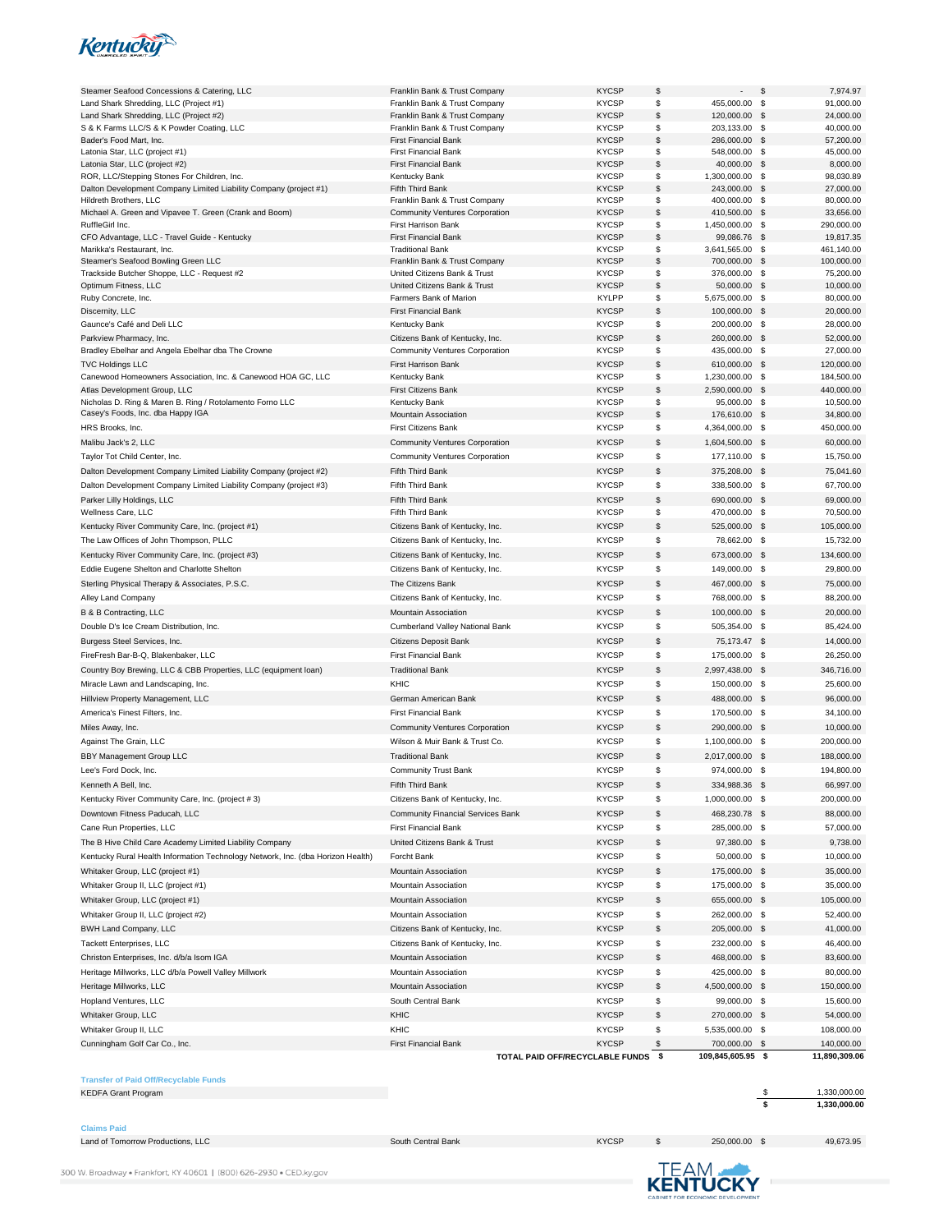

| <b>KYCSP</b><br>\$<br>91,000.00<br>Land Shark Shredding, LLC (Project #1)<br>Franklin Bank & Trust Company<br>455,000.00<br>\$<br>\$<br>$\mathbf{\hat{s}}$<br>Land Shark Shredding, LLC (Project #2)<br><b>KYCSP</b><br>120,000.00<br>24,000.00<br>Franklin Bank & Trust Company<br>\$<br>40,000.00<br>S & K Farms LLC/S & K Powder Coating, LLC<br><b>KYCSP</b><br>\$<br>Franklin Bank & Trust Company<br>203,133.00<br>\$<br><b>KYCSP</b><br>- \$<br>57,200.00<br>Bader's Food Mart, Inc.<br><b>First Financial Bank</b><br>286,000.00<br>Latonia Star, LLC (project #1)<br><b>First Financial Bank</b><br><b>KYCSP</b><br>\$<br>548,000.00<br>-\$<br>45,000.00<br>\$<br>Latonia Star, LLC (project #2)<br><b>First Financial Bank</b><br><b>KYCSP</b><br>40,000.00<br>\$<br>8,000.00<br>\$<br>98,030.89<br>ROR, LLC/Stepping Stones For Children, Inc.<br><b>KYCSP</b><br>1,300,000.00<br>\$<br>Kentucky Bank<br>\$<br>Dalton Development Company Limited Liability Company (project #1)<br>Fifth Third Bank<br><b>KYCSP</b><br>243,000.00<br>\$<br>27,000.00<br>\$<br><b>KYCSP</b><br>-\$<br>80,000.00<br>Hildreth Brothers, LLC<br>Franklin Bank & Trust Company<br>400,000.00<br>\$<br>Michael A. Green and Vipavee T. Green (Crank and Boom)<br><b>Community Ventures Corporation</b><br><b>KYCSP</b><br>410,500.00<br>\$<br>33,656.00<br>\$<br><b>First Harrison Bank</b><br><b>KYCSP</b><br>1,450,000.00<br>- \$<br>290,000.00<br>RuffleGirl Inc.<br>\$<br>CFO Advantage, LLC - Travel Guide - Kentucky<br><b>KYCSP</b><br>\$<br>19,817.35<br><b>First Financial Bank</b><br>99,086.76<br><b>KYCSP</b><br>\$<br>3,641,565.00<br>\$<br>461,140.00<br>Marikka's Restaurant, Inc.<br><b>Traditional Bank</b><br>\$<br><b>KYCSP</b><br>\$<br>100,000.00<br>Steamer's Seafood Bowling Green LLC<br>Franklin Bank & Trust Company<br>700,000.00<br>Trackside Butcher Shoppe, LLC - Request #2<br>United Citizens Bank & Trust<br><b>KYCSP</b><br>\$<br>376,000.00<br>-\$<br>75,200.00<br>\$<br>Optimum Fitness, LLC<br>United Citizens Bank & Trust<br><b>KYCSP</b><br>50,000.00<br>- \$<br>10,000.00<br>\$<br><b>KYLPP</b><br>5,675,000.00 \$<br>80,000.00<br>Ruby Concrete, Inc.<br>Farmers Bank of Marion<br>\$<br>Discernity, LLC<br><b>First Financial Bank</b><br><b>KYCSP</b><br>100,000.00<br>$\mathbf s$<br>20,000.00<br>\$<br>Gaunce's Café and Deli LLC<br><b>KYCSP</b><br>200,000.00<br>\$<br>28,000.00<br>Kentucky Bank<br>\$<br><b>KYCSP</b><br>52,000.00<br>260,000.00<br>\$<br>Parkview Pharmacy, Inc.<br>Citizens Bank of Kentucky, Inc.<br>\$<br>Bradley Ebelhar and Angela Ebelhar dba The Crowne<br><b>Community Ventures Corporation</b><br><b>KYCSP</b><br>435,000.00<br>-\$<br>27,000.00<br>\$<br><b>First Harrison Bank</b><br><b>KYCSP</b><br>610,000.00<br>- \$<br>120,000.00<br><b>TVC Holdings LLC</b><br><b>KYCSP</b><br>\$<br>184,500.00<br>1,230,000.00 \$<br>Canewood Homeowners Association, Inc. & Canewood HOA GC, LLC<br>Kentucky Bank<br>\$<br>Atlas Development Group, LLC<br><b>First Citizens Bank</b><br><b>KYCSP</b><br>2,590,000.00<br>\$<br>440,000.00<br>\$<br>Nicholas D. Ring & Maren B. Ring / Rotolamento Forno LLC<br><b>KYCSP</b><br>95,000.00<br>- \$<br>10,500.00<br>Kentucky Bank<br>Casey's Foods, Inc. dba Happy IGA<br>\$<br>Mountain Association<br><b>KYCSP</b><br>176,610.00<br>\$<br>34,800.00<br>\$<br>HRS Brooks, Inc.<br><b>First Citizens Bank</b><br><b>KYCSP</b><br>4,364,000.00<br>- \$<br>450,000.00<br><b>KYCSP</b><br>\$<br>60,000.00<br>Malibu Jack's 2, LLC<br>1,604,500.00<br>$\mathbf s$<br><b>Community Ventures Corporation</b><br><b>KYCSP</b><br>\$<br>15,750.00<br>Taylor Tot Child Center, Inc.<br>177,110.00<br>- \$<br><b>Community Ventures Corporation</b><br>\$<br><b>KYCSP</b><br><b>S</b><br>75,041.60<br>Dalton Development Company Limited Liability Company (project #2)<br>Fifth Third Bank<br>375,208.00<br>\$<br><b>KYCSP</b><br>338,500.00<br><b>S</b><br>67,700.00<br>Dalton Development Company Limited Liability Company (project #3)<br>Fifth Third Bank<br>\$<br>Parker Lilly Holdings, LLC<br>Fifth Third Bank<br><b>KYCSP</b><br>690,000.00<br><b>S</b><br>69,000.00<br>\$<br>Fifth Third Bank<br><b>KYCSP</b><br>470,000.00<br>- \$<br>70,500.00<br>Wellness Care, LLC<br>\$<br>Kentucky River Community Care, Inc. (project #1)<br>Citizens Bank of Kentucky, Inc.<br><b>KYCSP</b><br>525,000.00<br>\$<br>105,000.00<br>\$<br>$\mathbb{S}$<br>15,732.00<br><b>KYCSP</b><br>78,662.00<br>The Law Offices of John Thompson, PLLC<br>Citizens Bank of Kentucky, Inc.<br>\$<br><b>KYCSP</b><br>673,000.00<br>$\mathbb{S}$<br>134,600.00<br>Kentucky River Community Care, Inc. (project #3)<br>Citizens Bank of Kentucky, Inc.<br>\$<br><b>KYCSP</b><br>149,000.00<br>-\$<br>29,800.00<br>Eddie Eugene Shelton and Charlotte Shelton<br>Citizens Bank of Kentucky, Inc.<br>\$<br>Sterling Physical Therapy & Associates, P.S.C.<br>The Citizens Bank<br><b>KYCSP</b><br>467,000.00<br>- \$<br>75,000.00<br>\$<br>Citizens Bank of Kentucky, Inc.<br><b>KYCSP</b><br>768,000.00<br>\$<br>88,200.00<br>Alley Land Company<br>\$<br><b>KYCSP</b><br>B & B Contracting, LLC<br>Mountain Association<br>100,000.00<br>\$<br>20,000.00<br>\$<br>Double D's Ice Cream Distribution, Inc.<br>Cumberland Valley National Bank<br><b>KYCSP</b><br>505,354.00 \$<br>85,424.00<br>\$<br><b>KYCSP</b><br>\$<br>14,000.00<br>Burgess Steel Services, Inc.<br>Citizens Deposit Bank<br>75,173.47<br>\$<br><b>KYCSP</b><br>26,250.00<br>FireFresh Bar-B-Q, Blakenbaker, LLC<br><b>First Financial Bank</b><br>175,000.00<br>- \$<br>\$<br>Country Boy Brewing, LLC & CBB Properties, LLC (equipment loan)<br><b>Traditional Bank</b><br><b>KYCSP</b><br>2,997,438.00<br>\$<br>346,716.00<br>\$<br>Miracle Lawn and Landscaping, Inc.<br>KHIC<br><b>KYCSP</b><br>150,000.00 \$<br>25,600.00<br>\$<br>Hillview Property Management, LLC<br>German American Bank<br><b>KYCSP</b><br>488,000.00<br>- \$<br>96,000.00<br><b>KYCSP</b><br>\$<br>34,100.00<br>170,500.00 \$<br>America's Finest Filters, Inc.<br><b>First Financial Bank</b><br>\$<br><b>KYCSP</b><br>290,000.00<br>- \$<br>10,000.00<br>Miles Away, Inc.<br><b>Community Ventures Corporation</b><br><b>KYCSP</b><br>\$<br>1,100,000.00<br>\$<br>200,000.00<br>Against The Grain, LLC<br>Wilson & Muir Bank & Trust Co.<br>\$<br>BBY Management Group LLC<br><b>Traditional Bank</b><br><b>KYCSP</b><br>2,017,000.00<br>188,000.00<br>- \$<br>\$<br>Lee's Ford Dock, Inc.<br><b>Community Trust Bank</b><br><b>KYCSP</b><br>974,000.00 \$<br>194,800.00<br>Kenneth A Bell, Inc.<br>Fifth Third Bank<br><b>KYCSP</b><br>\$<br>334,988.36<br>- \$<br>66,997.00<br><b>KYCSP</b><br>\$<br>200,000.00<br>Kentucky River Community Care, Inc. (project #3)<br>Citizens Bank of Kentucky, Inc.<br>1,000,000.00 \$<br>\$<br>Downtown Fitness Paducah, LLC<br><b>Community Financial Services Bank</b><br><b>KYCSP</b><br>468,230.78<br>\$<br>88,000.00<br>\$<br>First Financial Bank<br><b>KYCSP</b><br>\$<br>57,000.00<br>Cane Run Properties, LLC<br>285,000.00<br>\$<br>The B Hive Child Care Academy Limited Liability Company<br><b>KYCSP</b><br>97,380.00 \$<br>9,738.00<br>United Citizens Bank & Trust<br>\$<br>Kentucky Rural Health Information Technology Network, Inc. (dba Horizon Health)<br>Forcht Bank<br><b>KYCSP</b><br>50,000.00<br>\$<br>10,000.00<br>\$<br>Whitaker Group, LLC (project #1)<br>Mountain Association<br><b>KYCSP</b><br>175,000.00 \$<br>35,000.00<br>\$<br>Whitaker Group II, LLC (project #1)<br>Mountain Association<br><b>KYCSP</b><br>175,000.00 \$<br>35,000.00<br><b>KYCSP</b><br>\$<br>Whitaker Group, LLC (project #1)<br>655,000.00 \$<br>105,000.00<br>Mountain Association<br>\$<br>Whitaker Group II, LLC (project #2)<br><b>KYCSP</b><br>262,000.00 \$<br>52,400.00<br>Mountain Association<br>\$<br>BWH Land Company, LLC<br><b>KYCSP</b><br>205,000.00<br>\$<br>41,000.00<br>Citizens Bank of Kentucky, Inc.<br>\$<br><b>Tackett Enterprises, LLC</b><br><b>KYCSP</b><br>232,000.00 \$<br>46,400.00<br>Citizens Bank of Kentucky, Inc.<br><b>KYCSP</b><br>\$<br>Christon Enterprises, Inc. d/b/a Isom IGA<br>Mountain Association<br>468,000.00<br>\$<br>83,600.00<br>Heritage Millworks, LLC d/b/a Powell Valley Millwork<br>Mountain Association<br><b>KYCSP</b><br>\$<br>425,000.00 \$<br>80,000.00<br>\$<br><b>KYCSP</b><br>4,500,000.00<br>150,000.00<br>Heritage Millworks, LLC<br>Mountain Association<br>-\$<br>Hopland Ventures, LLC<br>South Central Bank<br><b>KYCSP</b><br>\$<br>99,000.00 \$<br>15,600.00<br>\$<br>KHIC<br>Whitaker Group, LLC<br><b>KYCSP</b><br>270,000.00<br>54,000.00<br>- \$<br>Whitaker Group II, LLC<br>KHIC<br><b>KYCSP</b><br>\$<br>5,535,000.00 \$<br>108,000.00<br>Cunningham Golf Car Co., Inc.<br><b>First Financial Bank</b><br><b>KYCSP</b><br>700,000.00<br>140,000.00<br>\$<br>- \$<br>109,845,605.95 \$<br>11,890,309.06<br>- \$<br>TOTAL PAID OFF/RECYCLABLE FUNDS | Steamer Seafood Concessions & Catering, LLC | Franklin Bank & Trust Company | <b>KYCSP</b> | \$ | \$<br>7,974.97 |
|-----------------------------------------------------------------------------------------------------------------------------------------------------------------------------------------------------------------------------------------------------------------------------------------------------------------------------------------------------------------------------------------------------------------------------------------------------------------------------------------------------------------------------------------------------------------------------------------------------------------------------------------------------------------------------------------------------------------------------------------------------------------------------------------------------------------------------------------------------------------------------------------------------------------------------------------------------------------------------------------------------------------------------------------------------------------------------------------------------------------------------------------------------------------------------------------------------------------------------------------------------------------------------------------------------------------------------------------------------------------------------------------------------------------------------------------------------------------------------------------------------------------------------------------------------------------------------------------------------------------------------------------------------------------------------------------------------------------------------------------------------------------------------------------------------------------------------------------------------------------------------------------------------------------------------------------------------------------------------------------------------------------------------------------------------------------------------------------------------------------------------------------------------------------------------------------------------------------------------------------------------------------------------------------------------------------------------------------------------------------------------------------------------------------------------------------------------------------------------------------------------------------------------------------------------------------------------------------------------------------------------------------------------------------------------------------------------------------------------------------------------------------------------------------------------------------------------------------------------------------------------------------------------------------------------------------------------------------------------------------------------------------------------------------------------------------------------------------------------------------------------------------------------------------------------------------------------------------------------------------------------------------------------------------------------------------------------------------------------------------------------------------------------------------------------------------------------------------------------------------------------------------------------------------------------------------------------------------------------------------------------------------------------------------------------------------------------------------------------------------------------------------------------------------------------------------------------------------------------------------------------------------------------------------------------------------------------------------------------------------------------------------------------------------------------------------------------------------------------------------------------------------------------------------------------------------------------------------------------------------------------------------------------------------------------------------------------------------------------------------------------------------------------------------------------------------------------------------------------------------------------------------------------------------------------------------------------------------------------------------------------------------------------------------------------------------------------------------------------------------------------------------------------------------------------------------------------------------------------------------------------------------------------------------------------------------------------------------------------------------------------------------------------------------------------------------------------------------------------------------------------------------------------------------------------------------------------------------------------------------------------------------------------------------------------------------------------------------------------------------------------------------------------------------------------------------------------------------------------------------------------------------------------------------------------------------------------------------------------------------------------------------------------------------------------------------------------------------------------------------------------------------------------------------------------------------------------------------------------------------------------------------------------------------------------------------------------------------------------------------------------------------------------------------------------------------------------------------------------------------------------------------------------------------------------------------------------------------------------------------------------------------------------------------------------------------------------------------------------------------------------------------------------------------------------------------------------------------------------------------------------------------------------------------------------------------------------------------------------------------------------------------------------------------------------------------------------------------------------------------------------------------------------------------------------------------------------------------------------------------------------------------------------------------------------------------------------------------------------------------------------------------------------------------------------------------------------------------------------------------------------------------------------------------------------------------------------------------------------------------------------------------------------------------------------------------------------------------------------------------------------------------------------------------------------------------------------------------------------------------------------------------------------------------------------------------------------------------------------------------------------------------------------------------------------------------------------------------------------------------------------------------------------------------------------------------------------------------------------------------------------------------------------------------------------------------------------------------------------------------------------------------------------------------------------------------------------------------------------------------------------------------------------------------------------------------------------------------------------------------------------------------------------------------------------------------------------------------------------------------------------------------------------------------------------------------------------------------------------------------------------------------------------------------------------------------------------------------------------------------------------------------------------------------------------------------------------------------------------------------------------------------------------------------------------------------------------------------------------------------------------------------------------------------------------------------------------------------------------------------------------------------|---------------------------------------------|-------------------------------|--------------|----|----------------|
|                                                                                                                                                                                                                                                                                                                                                                                                                                                                                                                                                                                                                                                                                                                                                                                                                                                                                                                                                                                                                                                                                                                                                                                                                                                                                                                                                                                                                                                                                                                                                                                                                                                                                                                                                                                                                                                                                                                                                                                                                                                                                                                                                                                                                                                                                                                                                                                                                                                                                                                                                                                                                                                                                                                                                                                                                                                                                                                                                                                                                                                                                                                                                                                                                                                                                                                                                                                                                                                                                                                                                                                                                                                                                                                                                                                                                                                                                                                                                                                                                                                                                                                                                                                                                                                                                                                                                                                                                                                                                                                                                                                                                                                                                                                                                                                                                                                                                                                                                                                                                                                                                                                                                                                                                                                                                                                                                                                                                                                                                                                                                                                                                                                                                                                                                                                                                                                                                                                                                                                                                                                                                                                                                                                                                                                                                                                                                                                                                                                                                                                                                                                                                                                                                                                                                                                                                                                                                                                                                                                                                                                                                                                                                                                                                                                                                                                                                                                                                                                                                                                                                                                                                                                                                                                                                                                                                                                                                                                                                                                                                                                                                                                                                                                                                                                                                                                                                                                                                                                                                                                                                                                                                                                                                                                                                                                                                                                                                                                                                                                                                 |                                             |                               |              |    |                |
|                                                                                                                                                                                                                                                                                                                                                                                                                                                                                                                                                                                                                                                                                                                                                                                                                                                                                                                                                                                                                                                                                                                                                                                                                                                                                                                                                                                                                                                                                                                                                                                                                                                                                                                                                                                                                                                                                                                                                                                                                                                                                                                                                                                                                                                                                                                                                                                                                                                                                                                                                                                                                                                                                                                                                                                                                                                                                                                                                                                                                                                                                                                                                                                                                                                                                                                                                                                                                                                                                                                                                                                                                                                                                                                                                                                                                                                                                                                                                                                                                                                                                                                                                                                                                                                                                                                                                                                                                                                                                                                                                                                                                                                                                                                                                                                                                                                                                                                                                                                                                                                                                                                                                                                                                                                                                                                                                                                                                                                                                                                                                                                                                                                                                                                                                                                                                                                                                                                                                                                                                                                                                                                                                                                                                                                                                                                                                                                                                                                                                                                                                                                                                                                                                                                                                                                                                                                                                                                                                                                                                                                                                                                                                                                                                                                                                                                                                                                                                                                                                                                                                                                                                                                                                                                                                                                                                                                                                                                                                                                                                                                                                                                                                                                                                                                                                                                                                                                                                                                                                                                                                                                                                                                                                                                                                                                                                                                                                                                                                                                                                 |                                             |                               |              |    |                |
|                                                                                                                                                                                                                                                                                                                                                                                                                                                                                                                                                                                                                                                                                                                                                                                                                                                                                                                                                                                                                                                                                                                                                                                                                                                                                                                                                                                                                                                                                                                                                                                                                                                                                                                                                                                                                                                                                                                                                                                                                                                                                                                                                                                                                                                                                                                                                                                                                                                                                                                                                                                                                                                                                                                                                                                                                                                                                                                                                                                                                                                                                                                                                                                                                                                                                                                                                                                                                                                                                                                                                                                                                                                                                                                                                                                                                                                                                                                                                                                                                                                                                                                                                                                                                                                                                                                                                                                                                                                                                                                                                                                                                                                                                                                                                                                                                                                                                                                                                                                                                                                                                                                                                                                                                                                                                                                                                                                                                                                                                                                                                                                                                                                                                                                                                                                                                                                                                                                                                                                                                                                                                                                                                                                                                                                                                                                                                                                                                                                                                                                                                                                                                                                                                                                                                                                                                                                                                                                                                                                                                                                                                                                                                                                                                                                                                                                                                                                                                                                                                                                                                                                                                                                                                                                                                                                                                                                                                                                                                                                                                                                                                                                                                                                                                                                                                                                                                                                                                                                                                                                                                                                                                                                                                                                                                                                                                                                                                                                                                                                                                 |                                             |                               |              |    |                |
|                                                                                                                                                                                                                                                                                                                                                                                                                                                                                                                                                                                                                                                                                                                                                                                                                                                                                                                                                                                                                                                                                                                                                                                                                                                                                                                                                                                                                                                                                                                                                                                                                                                                                                                                                                                                                                                                                                                                                                                                                                                                                                                                                                                                                                                                                                                                                                                                                                                                                                                                                                                                                                                                                                                                                                                                                                                                                                                                                                                                                                                                                                                                                                                                                                                                                                                                                                                                                                                                                                                                                                                                                                                                                                                                                                                                                                                                                                                                                                                                                                                                                                                                                                                                                                                                                                                                                                                                                                                                                                                                                                                                                                                                                                                                                                                                                                                                                                                                                                                                                                                                                                                                                                                                                                                                                                                                                                                                                                                                                                                                                                                                                                                                                                                                                                                                                                                                                                                                                                                                                                                                                                                                                                                                                                                                                                                                                                                                                                                                                                                                                                                                                                                                                                                                                                                                                                                                                                                                                                                                                                                                                                                                                                                                                                                                                                                                                                                                                                                                                                                                                                                                                                                                                                                                                                                                                                                                                                                                                                                                                                                                                                                                                                                                                                                                                                                                                                                                                                                                                                                                                                                                                                                                                                                                                                                                                                                                                                                                                                                                                 |                                             |                               |              |    |                |
|                                                                                                                                                                                                                                                                                                                                                                                                                                                                                                                                                                                                                                                                                                                                                                                                                                                                                                                                                                                                                                                                                                                                                                                                                                                                                                                                                                                                                                                                                                                                                                                                                                                                                                                                                                                                                                                                                                                                                                                                                                                                                                                                                                                                                                                                                                                                                                                                                                                                                                                                                                                                                                                                                                                                                                                                                                                                                                                                                                                                                                                                                                                                                                                                                                                                                                                                                                                                                                                                                                                                                                                                                                                                                                                                                                                                                                                                                                                                                                                                                                                                                                                                                                                                                                                                                                                                                                                                                                                                                                                                                                                                                                                                                                                                                                                                                                                                                                                                                                                                                                                                                                                                                                                                                                                                                                                                                                                                                                                                                                                                                                                                                                                                                                                                                                                                                                                                                                                                                                                                                                                                                                                                                                                                                                                                                                                                                                                                                                                                                                                                                                                                                                                                                                                                                                                                                                                                                                                                                                                                                                                                                                                                                                                                                                                                                                                                                                                                                                                                                                                                                                                                                                                                                                                                                                                                                                                                                                                                                                                                                                                                                                                                                                                                                                                                                                                                                                                                                                                                                                                                                                                                                                                                                                                                                                                                                                                                                                                                                                                                                 |                                             |                               |              |    |                |
|                                                                                                                                                                                                                                                                                                                                                                                                                                                                                                                                                                                                                                                                                                                                                                                                                                                                                                                                                                                                                                                                                                                                                                                                                                                                                                                                                                                                                                                                                                                                                                                                                                                                                                                                                                                                                                                                                                                                                                                                                                                                                                                                                                                                                                                                                                                                                                                                                                                                                                                                                                                                                                                                                                                                                                                                                                                                                                                                                                                                                                                                                                                                                                                                                                                                                                                                                                                                                                                                                                                                                                                                                                                                                                                                                                                                                                                                                                                                                                                                                                                                                                                                                                                                                                                                                                                                                                                                                                                                                                                                                                                                                                                                                                                                                                                                                                                                                                                                                                                                                                                                                                                                                                                                                                                                                                                                                                                                                                                                                                                                                                                                                                                                                                                                                                                                                                                                                                                                                                                                                                                                                                                                                                                                                                                                                                                                                                                                                                                                                                                                                                                                                                                                                                                                                                                                                                                                                                                                                                                                                                                                                                                                                                                                                                                                                                                                                                                                                                                                                                                                                                                                                                                                                                                                                                                                                                                                                                                                                                                                                                                                                                                                                                                                                                                                                                                                                                                                                                                                                                                                                                                                                                                                                                                                                                                                                                                                                                                                                                                                                 |                                             |                               |              |    |                |
|                                                                                                                                                                                                                                                                                                                                                                                                                                                                                                                                                                                                                                                                                                                                                                                                                                                                                                                                                                                                                                                                                                                                                                                                                                                                                                                                                                                                                                                                                                                                                                                                                                                                                                                                                                                                                                                                                                                                                                                                                                                                                                                                                                                                                                                                                                                                                                                                                                                                                                                                                                                                                                                                                                                                                                                                                                                                                                                                                                                                                                                                                                                                                                                                                                                                                                                                                                                                                                                                                                                                                                                                                                                                                                                                                                                                                                                                                                                                                                                                                                                                                                                                                                                                                                                                                                                                                                                                                                                                                                                                                                                                                                                                                                                                                                                                                                                                                                                                                                                                                                                                                                                                                                                                                                                                                                                                                                                                                                                                                                                                                                                                                                                                                                                                                                                                                                                                                                                                                                                                                                                                                                                                                                                                                                                                                                                                                                                                                                                                                                                                                                                                                                                                                                                                                                                                                                                                                                                                                                                                                                                                                                                                                                                                                                                                                                                                                                                                                                                                                                                                                                                                                                                                                                                                                                                                                                                                                                                                                                                                                                                                                                                                                                                                                                                                                                                                                                                                                                                                                                                                                                                                                                                                                                                                                                                                                                                                                                                                                                                                                 |                                             |                               |              |    |                |
|                                                                                                                                                                                                                                                                                                                                                                                                                                                                                                                                                                                                                                                                                                                                                                                                                                                                                                                                                                                                                                                                                                                                                                                                                                                                                                                                                                                                                                                                                                                                                                                                                                                                                                                                                                                                                                                                                                                                                                                                                                                                                                                                                                                                                                                                                                                                                                                                                                                                                                                                                                                                                                                                                                                                                                                                                                                                                                                                                                                                                                                                                                                                                                                                                                                                                                                                                                                                                                                                                                                                                                                                                                                                                                                                                                                                                                                                                                                                                                                                                                                                                                                                                                                                                                                                                                                                                                                                                                                                                                                                                                                                                                                                                                                                                                                                                                                                                                                                                                                                                                                                                                                                                                                                                                                                                                                                                                                                                                                                                                                                                                                                                                                                                                                                                                                                                                                                                                                                                                                                                                                                                                                                                                                                                                                                                                                                                                                                                                                                                                                                                                                                                                                                                                                                                                                                                                                                                                                                                                                                                                                                                                                                                                                                                                                                                                                                                                                                                                                                                                                                                                                                                                                                                                                                                                                                                                                                                                                                                                                                                                                                                                                                                                                                                                                                                                                                                                                                                                                                                                                                                                                                                                                                                                                                                                                                                                                                                                                                                                                                                 |                                             |                               |              |    |                |
|                                                                                                                                                                                                                                                                                                                                                                                                                                                                                                                                                                                                                                                                                                                                                                                                                                                                                                                                                                                                                                                                                                                                                                                                                                                                                                                                                                                                                                                                                                                                                                                                                                                                                                                                                                                                                                                                                                                                                                                                                                                                                                                                                                                                                                                                                                                                                                                                                                                                                                                                                                                                                                                                                                                                                                                                                                                                                                                                                                                                                                                                                                                                                                                                                                                                                                                                                                                                                                                                                                                                                                                                                                                                                                                                                                                                                                                                                                                                                                                                                                                                                                                                                                                                                                                                                                                                                                                                                                                                                                                                                                                                                                                                                                                                                                                                                                                                                                                                                                                                                                                                                                                                                                                                                                                                                                                                                                                                                                                                                                                                                                                                                                                                                                                                                                                                                                                                                                                                                                                                                                                                                                                                                                                                                                                                                                                                                                                                                                                                                                                                                                                                                                                                                                                                                                                                                                                                                                                                                                                                                                                                                                                                                                                                                                                                                                                                                                                                                                                                                                                                                                                                                                                                                                                                                                                                                                                                                                                                                                                                                                                                                                                                                                                                                                                                                                                                                                                                                                                                                                                                                                                                                                                                                                                                                                                                                                                                                                                                                                                                                 |                                             |                               |              |    |                |
|                                                                                                                                                                                                                                                                                                                                                                                                                                                                                                                                                                                                                                                                                                                                                                                                                                                                                                                                                                                                                                                                                                                                                                                                                                                                                                                                                                                                                                                                                                                                                                                                                                                                                                                                                                                                                                                                                                                                                                                                                                                                                                                                                                                                                                                                                                                                                                                                                                                                                                                                                                                                                                                                                                                                                                                                                                                                                                                                                                                                                                                                                                                                                                                                                                                                                                                                                                                                                                                                                                                                                                                                                                                                                                                                                                                                                                                                                                                                                                                                                                                                                                                                                                                                                                                                                                                                                                                                                                                                                                                                                                                                                                                                                                                                                                                                                                                                                                                                                                                                                                                                                                                                                                                                                                                                                                                                                                                                                                                                                                                                                                                                                                                                                                                                                                                                                                                                                                                                                                                                                                                                                                                                                                                                                                                                                                                                                                                                                                                                                                                                                                                                                                                                                                                                                                                                                                                                                                                                                                                                                                                                                                                                                                                                                                                                                                                                                                                                                                                                                                                                                                                                                                                                                                                                                                                                                                                                                                                                                                                                                                                                                                                                                                                                                                                                                                                                                                                                                                                                                                                                                                                                                                                                                                                                                                                                                                                                                                                                                                                                                 |                                             |                               |              |    |                |
|                                                                                                                                                                                                                                                                                                                                                                                                                                                                                                                                                                                                                                                                                                                                                                                                                                                                                                                                                                                                                                                                                                                                                                                                                                                                                                                                                                                                                                                                                                                                                                                                                                                                                                                                                                                                                                                                                                                                                                                                                                                                                                                                                                                                                                                                                                                                                                                                                                                                                                                                                                                                                                                                                                                                                                                                                                                                                                                                                                                                                                                                                                                                                                                                                                                                                                                                                                                                                                                                                                                                                                                                                                                                                                                                                                                                                                                                                                                                                                                                                                                                                                                                                                                                                                                                                                                                                                                                                                                                                                                                                                                                                                                                                                                                                                                                                                                                                                                                                                                                                                                                                                                                                                                                                                                                                                                                                                                                                                                                                                                                                                                                                                                                                                                                                                                                                                                                                                                                                                                                                                                                                                                                                                                                                                                                                                                                                                                                                                                                                                                                                                                                                                                                                                                                                                                                                                                                                                                                                                                                                                                                                                                                                                                                                                                                                                                                                                                                                                                                                                                                                                                                                                                                                                                                                                                                                                                                                                                                                                                                                                                                                                                                                                                                                                                                                                                                                                                                                                                                                                                                                                                                                                                                                                                                                                                                                                                                                                                                                                                                                 |                                             |                               |              |    |                |
|                                                                                                                                                                                                                                                                                                                                                                                                                                                                                                                                                                                                                                                                                                                                                                                                                                                                                                                                                                                                                                                                                                                                                                                                                                                                                                                                                                                                                                                                                                                                                                                                                                                                                                                                                                                                                                                                                                                                                                                                                                                                                                                                                                                                                                                                                                                                                                                                                                                                                                                                                                                                                                                                                                                                                                                                                                                                                                                                                                                                                                                                                                                                                                                                                                                                                                                                                                                                                                                                                                                                                                                                                                                                                                                                                                                                                                                                                                                                                                                                                                                                                                                                                                                                                                                                                                                                                                                                                                                                                                                                                                                                                                                                                                                                                                                                                                                                                                                                                                                                                                                                                                                                                                                                                                                                                                                                                                                                                                                                                                                                                                                                                                                                                                                                                                                                                                                                                                                                                                                                                                                                                                                                                                                                                                                                                                                                                                                                                                                                                                                                                                                                                                                                                                                                                                                                                                                                                                                                                                                                                                                                                                                                                                                                                                                                                                                                                                                                                                                                                                                                                                                                                                                                                                                                                                                                                                                                                                                                                                                                                                                                                                                                                                                                                                                                                                                                                                                                                                                                                                                                                                                                                                                                                                                                                                                                                                                                                                                                                                                                                 |                                             |                               |              |    |                |
|                                                                                                                                                                                                                                                                                                                                                                                                                                                                                                                                                                                                                                                                                                                                                                                                                                                                                                                                                                                                                                                                                                                                                                                                                                                                                                                                                                                                                                                                                                                                                                                                                                                                                                                                                                                                                                                                                                                                                                                                                                                                                                                                                                                                                                                                                                                                                                                                                                                                                                                                                                                                                                                                                                                                                                                                                                                                                                                                                                                                                                                                                                                                                                                                                                                                                                                                                                                                                                                                                                                                                                                                                                                                                                                                                                                                                                                                                                                                                                                                                                                                                                                                                                                                                                                                                                                                                                                                                                                                                                                                                                                                                                                                                                                                                                                                                                                                                                                                                                                                                                                                                                                                                                                                                                                                                                                                                                                                                                                                                                                                                                                                                                                                                                                                                                                                                                                                                                                                                                                                                                                                                                                                                                                                                                                                                                                                                                                                                                                                                                                                                                                                                                                                                                                                                                                                                                                                                                                                                                                                                                                                                                                                                                                                                                                                                                                                                                                                                                                                                                                                                                                                                                                                                                                                                                                                                                                                                                                                                                                                                                                                                                                                                                                                                                                                                                                                                                                                                                                                                                                                                                                                                                                                                                                                                                                                                                                                                                                                                                                                                 |                                             |                               |              |    |                |
|                                                                                                                                                                                                                                                                                                                                                                                                                                                                                                                                                                                                                                                                                                                                                                                                                                                                                                                                                                                                                                                                                                                                                                                                                                                                                                                                                                                                                                                                                                                                                                                                                                                                                                                                                                                                                                                                                                                                                                                                                                                                                                                                                                                                                                                                                                                                                                                                                                                                                                                                                                                                                                                                                                                                                                                                                                                                                                                                                                                                                                                                                                                                                                                                                                                                                                                                                                                                                                                                                                                                                                                                                                                                                                                                                                                                                                                                                                                                                                                                                                                                                                                                                                                                                                                                                                                                                                                                                                                                                                                                                                                                                                                                                                                                                                                                                                                                                                                                                                                                                                                                                                                                                                                                                                                                                                                                                                                                                                                                                                                                                                                                                                                                                                                                                                                                                                                                                                                                                                                                                                                                                                                                                                                                                                                                                                                                                                                                                                                                                                                                                                                                                                                                                                                                                                                                                                                                                                                                                                                                                                                                                                                                                                                                                                                                                                                                                                                                                                                                                                                                                                                                                                                                                                                                                                                                                                                                                                                                                                                                                                                                                                                                                                                                                                                                                                                                                                                                                                                                                                                                                                                                                                                                                                                                                                                                                                                                                                                                                                                                                 |                                             |                               |              |    |                |
|                                                                                                                                                                                                                                                                                                                                                                                                                                                                                                                                                                                                                                                                                                                                                                                                                                                                                                                                                                                                                                                                                                                                                                                                                                                                                                                                                                                                                                                                                                                                                                                                                                                                                                                                                                                                                                                                                                                                                                                                                                                                                                                                                                                                                                                                                                                                                                                                                                                                                                                                                                                                                                                                                                                                                                                                                                                                                                                                                                                                                                                                                                                                                                                                                                                                                                                                                                                                                                                                                                                                                                                                                                                                                                                                                                                                                                                                                                                                                                                                                                                                                                                                                                                                                                                                                                                                                                                                                                                                                                                                                                                                                                                                                                                                                                                                                                                                                                                                                                                                                                                                                                                                                                                                                                                                                                                                                                                                                                                                                                                                                                                                                                                                                                                                                                                                                                                                                                                                                                                                                                                                                                                                                                                                                                                                                                                                                                                                                                                                                                                                                                                                                                                                                                                                                                                                                                                                                                                                                                                                                                                                                                                                                                                                                                                                                                                                                                                                                                                                                                                                                                                                                                                                                                                                                                                                                                                                                                                                                                                                                                                                                                                                                                                                                                                                                                                                                                                                                                                                                                                                                                                                                                                                                                                                                                                                                                                                                                                                                                                                                 |                                             |                               |              |    |                |
|                                                                                                                                                                                                                                                                                                                                                                                                                                                                                                                                                                                                                                                                                                                                                                                                                                                                                                                                                                                                                                                                                                                                                                                                                                                                                                                                                                                                                                                                                                                                                                                                                                                                                                                                                                                                                                                                                                                                                                                                                                                                                                                                                                                                                                                                                                                                                                                                                                                                                                                                                                                                                                                                                                                                                                                                                                                                                                                                                                                                                                                                                                                                                                                                                                                                                                                                                                                                                                                                                                                                                                                                                                                                                                                                                                                                                                                                                                                                                                                                                                                                                                                                                                                                                                                                                                                                                                                                                                                                                                                                                                                                                                                                                                                                                                                                                                                                                                                                                                                                                                                                                                                                                                                                                                                                                                                                                                                                                                                                                                                                                                                                                                                                                                                                                                                                                                                                                                                                                                                                                                                                                                                                                                                                                                                                                                                                                                                                                                                                                                                                                                                                                                                                                                                                                                                                                                                                                                                                                                                                                                                                                                                                                                                                                                                                                                                                                                                                                                                                                                                                                                                                                                                                                                                                                                                                                                                                                                                                                                                                                                                                                                                                                                                                                                                                                                                                                                                                                                                                                                                                                                                                                                                                                                                                                                                                                                                                                                                                                                                                                 |                                             |                               |              |    |                |
|                                                                                                                                                                                                                                                                                                                                                                                                                                                                                                                                                                                                                                                                                                                                                                                                                                                                                                                                                                                                                                                                                                                                                                                                                                                                                                                                                                                                                                                                                                                                                                                                                                                                                                                                                                                                                                                                                                                                                                                                                                                                                                                                                                                                                                                                                                                                                                                                                                                                                                                                                                                                                                                                                                                                                                                                                                                                                                                                                                                                                                                                                                                                                                                                                                                                                                                                                                                                                                                                                                                                                                                                                                                                                                                                                                                                                                                                                                                                                                                                                                                                                                                                                                                                                                                                                                                                                                                                                                                                                                                                                                                                                                                                                                                                                                                                                                                                                                                                                                                                                                                                                                                                                                                                                                                                                                                                                                                                                                                                                                                                                                                                                                                                                                                                                                                                                                                                                                                                                                                                                                                                                                                                                                                                                                                                                                                                                                                                                                                                                                                                                                                                                                                                                                                                                                                                                                                                                                                                                                                                                                                                                                                                                                                                                                                                                                                                                                                                                                                                                                                                                                                                                                                                                                                                                                                                                                                                                                                                                                                                                                                                                                                                                                                                                                                                                                                                                                                                                                                                                                                                                                                                                                                                                                                                                                                                                                                                                                                                                                                                                 |                                             |                               |              |    |                |
|                                                                                                                                                                                                                                                                                                                                                                                                                                                                                                                                                                                                                                                                                                                                                                                                                                                                                                                                                                                                                                                                                                                                                                                                                                                                                                                                                                                                                                                                                                                                                                                                                                                                                                                                                                                                                                                                                                                                                                                                                                                                                                                                                                                                                                                                                                                                                                                                                                                                                                                                                                                                                                                                                                                                                                                                                                                                                                                                                                                                                                                                                                                                                                                                                                                                                                                                                                                                                                                                                                                                                                                                                                                                                                                                                                                                                                                                                                                                                                                                                                                                                                                                                                                                                                                                                                                                                                                                                                                                                                                                                                                                                                                                                                                                                                                                                                                                                                                                                                                                                                                                                                                                                                                                                                                                                                                                                                                                                                                                                                                                                                                                                                                                                                                                                                                                                                                                                                                                                                                                                                                                                                                                                                                                                                                                                                                                                                                                                                                                                                                                                                                                                                                                                                                                                                                                                                                                                                                                                                                                                                                                                                                                                                                                                                                                                                                                                                                                                                                                                                                                                                                                                                                                                                                                                                                                                                                                                                                                                                                                                                                                                                                                                                                                                                                                                                                                                                                                                                                                                                                                                                                                                                                                                                                                                                                                                                                                                                                                                                                                                 |                                             |                               |              |    |                |
|                                                                                                                                                                                                                                                                                                                                                                                                                                                                                                                                                                                                                                                                                                                                                                                                                                                                                                                                                                                                                                                                                                                                                                                                                                                                                                                                                                                                                                                                                                                                                                                                                                                                                                                                                                                                                                                                                                                                                                                                                                                                                                                                                                                                                                                                                                                                                                                                                                                                                                                                                                                                                                                                                                                                                                                                                                                                                                                                                                                                                                                                                                                                                                                                                                                                                                                                                                                                                                                                                                                                                                                                                                                                                                                                                                                                                                                                                                                                                                                                                                                                                                                                                                                                                                                                                                                                                                                                                                                                                                                                                                                                                                                                                                                                                                                                                                                                                                                                                                                                                                                                                                                                                                                                                                                                                                                                                                                                                                                                                                                                                                                                                                                                                                                                                                                                                                                                                                                                                                                                                                                                                                                                                                                                                                                                                                                                                                                                                                                                                                                                                                                                                                                                                                                                                                                                                                                                                                                                                                                                                                                                                                                                                                                                                                                                                                                                                                                                                                                                                                                                                                                                                                                                                                                                                                                                                                                                                                                                                                                                                                                                                                                                                                                                                                                                                                                                                                                                                                                                                                                                                                                                                                                                                                                                                                                                                                                                                                                                                                                                                 |                                             |                               |              |    |                |
|                                                                                                                                                                                                                                                                                                                                                                                                                                                                                                                                                                                                                                                                                                                                                                                                                                                                                                                                                                                                                                                                                                                                                                                                                                                                                                                                                                                                                                                                                                                                                                                                                                                                                                                                                                                                                                                                                                                                                                                                                                                                                                                                                                                                                                                                                                                                                                                                                                                                                                                                                                                                                                                                                                                                                                                                                                                                                                                                                                                                                                                                                                                                                                                                                                                                                                                                                                                                                                                                                                                                                                                                                                                                                                                                                                                                                                                                                                                                                                                                                                                                                                                                                                                                                                                                                                                                                                                                                                                                                                                                                                                                                                                                                                                                                                                                                                                                                                                                                                                                                                                                                                                                                                                                                                                                                                                                                                                                                                                                                                                                                                                                                                                                                                                                                                                                                                                                                                                                                                                                                                                                                                                                                                                                                                                                                                                                                                                                                                                                                                                                                                                                                                                                                                                                                                                                                                                                                                                                                                                                                                                                                                                                                                                                                                                                                                                                                                                                                                                                                                                                                                                                                                                                                                                                                                                                                                                                                                                                                                                                                                                                                                                                                                                                                                                                                                                                                                                                                                                                                                                                                                                                                                                                                                                                                                                                                                                                                                                                                                                                                 |                                             |                               |              |    |                |
|                                                                                                                                                                                                                                                                                                                                                                                                                                                                                                                                                                                                                                                                                                                                                                                                                                                                                                                                                                                                                                                                                                                                                                                                                                                                                                                                                                                                                                                                                                                                                                                                                                                                                                                                                                                                                                                                                                                                                                                                                                                                                                                                                                                                                                                                                                                                                                                                                                                                                                                                                                                                                                                                                                                                                                                                                                                                                                                                                                                                                                                                                                                                                                                                                                                                                                                                                                                                                                                                                                                                                                                                                                                                                                                                                                                                                                                                                                                                                                                                                                                                                                                                                                                                                                                                                                                                                                                                                                                                                                                                                                                                                                                                                                                                                                                                                                                                                                                                                                                                                                                                                                                                                                                                                                                                                                                                                                                                                                                                                                                                                                                                                                                                                                                                                                                                                                                                                                                                                                                                                                                                                                                                                                                                                                                                                                                                                                                                                                                                                                                                                                                                                                                                                                                                                                                                                                                                                                                                                                                                                                                                                                                                                                                                                                                                                                                                                                                                                                                                                                                                                                                                                                                                                                                                                                                                                                                                                                                                                                                                                                                                                                                                                                                                                                                                                                                                                                                                                                                                                                                                                                                                                                                                                                                                                                                                                                                                                                                                                                                                                 |                                             |                               |              |    |                |
|                                                                                                                                                                                                                                                                                                                                                                                                                                                                                                                                                                                                                                                                                                                                                                                                                                                                                                                                                                                                                                                                                                                                                                                                                                                                                                                                                                                                                                                                                                                                                                                                                                                                                                                                                                                                                                                                                                                                                                                                                                                                                                                                                                                                                                                                                                                                                                                                                                                                                                                                                                                                                                                                                                                                                                                                                                                                                                                                                                                                                                                                                                                                                                                                                                                                                                                                                                                                                                                                                                                                                                                                                                                                                                                                                                                                                                                                                                                                                                                                                                                                                                                                                                                                                                                                                                                                                                                                                                                                                                                                                                                                                                                                                                                                                                                                                                                                                                                                                                                                                                                                                                                                                                                                                                                                                                                                                                                                                                                                                                                                                                                                                                                                                                                                                                                                                                                                                                                                                                                                                                                                                                                                                                                                                                                                                                                                                                                                                                                                                                                                                                                                                                                                                                                                                                                                                                                                                                                                                                                                                                                                                                                                                                                                                                                                                                                                                                                                                                                                                                                                                                                                                                                                                                                                                                                                                                                                                                                                                                                                                                                                                                                                                                                                                                                                                                                                                                                                                                                                                                                                                                                                                                                                                                                                                                                                                                                                                                                                                                                                                 |                                             |                               |              |    |                |
|                                                                                                                                                                                                                                                                                                                                                                                                                                                                                                                                                                                                                                                                                                                                                                                                                                                                                                                                                                                                                                                                                                                                                                                                                                                                                                                                                                                                                                                                                                                                                                                                                                                                                                                                                                                                                                                                                                                                                                                                                                                                                                                                                                                                                                                                                                                                                                                                                                                                                                                                                                                                                                                                                                                                                                                                                                                                                                                                                                                                                                                                                                                                                                                                                                                                                                                                                                                                                                                                                                                                                                                                                                                                                                                                                                                                                                                                                                                                                                                                                                                                                                                                                                                                                                                                                                                                                                                                                                                                                                                                                                                                                                                                                                                                                                                                                                                                                                                                                                                                                                                                                                                                                                                                                                                                                                                                                                                                                                                                                                                                                                                                                                                                                                                                                                                                                                                                                                                                                                                                                                                                                                                                                                                                                                                                                                                                                                                                                                                                                                                                                                                                                                                                                                                                                                                                                                                                                                                                                                                                                                                                                                                                                                                                                                                                                                                                                                                                                                                                                                                                                                                                                                                                                                                                                                                                                                                                                                                                                                                                                                                                                                                                                                                                                                                                                                                                                                                                                                                                                                                                                                                                                                                                                                                                                                                                                                                                                                                                                                                                                 |                                             |                               |              |    |                |
|                                                                                                                                                                                                                                                                                                                                                                                                                                                                                                                                                                                                                                                                                                                                                                                                                                                                                                                                                                                                                                                                                                                                                                                                                                                                                                                                                                                                                                                                                                                                                                                                                                                                                                                                                                                                                                                                                                                                                                                                                                                                                                                                                                                                                                                                                                                                                                                                                                                                                                                                                                                                                                                                                                                                                                                                                                                                                                                                                                                                                                                                                                                                                                                                                                                                                                                                                                                                                                                                                                                                                                                                                                                                                                                                                                                                                                                                                                                                                                                                                                                                                                                                                                                                                                                                                                                                                                                                                                                                                                                                                                                                                                                                                                                                                                                                                                                                                                                                                                                                                                                                                                                                                                                                                                                                                                                                                                                                                                                                                                                                                                                                                                                                                                                                                                                                                                                                                                                                                                                                                                                                                                                                                                                                                                                                                                                                                                                                                                                                                                                                                                                                                                                                                                                                                                                                                                                                                                                                                                                                                                                                                                                                                                                                                                                                                                                                                                                                                                                                                                                                                                                                                                                                                                                                                                                                                                                                                                                                                                                                                                                                                                                                                                                                                                                                                                                                                                                                                                                                                                                                                                                                                                                                                                                                                                                                                                                                                                                                                                                                                 |                                             |                               |              |    |                |
|                                                                                                                                                                                                                                                                                                                                                                                                                                                                                                                                                                                                                                                                                                                                                                                                                                                                                                                                                                                                                                                                                                                                                                                                                                                                                                                                                                                                                                                                                                                                                                                                                                                                                                                                                                                                                                                                                                                                                                                                                                                                                                                                                                                                                                                                                                                                                                                                                                                                                                                                                                                                                                                                                                                                                                                                                                                                                                                                                                                                                                                                                                                                                                                                                                                                                                                                                                                                                                                                                                                                                                                                                                                                                                                                                                                                                                                                                                                                                                                                                                                                                                                                                                                                                                                                                                                                                                                                                                                                                                                                                                                                                                                                                                                                                                                                                                                                                                                                                                                                                                                                                                                                                                                                                                                                                                                                                                                                                                                                                                                                                                                                                                                                                                                                                                                                                                                                                                                                                                                                                                                                                                                                                                                                                                                                                                                                                                                                                                                                                                                                                                                                                                                                                                                                                                                                                                                                                                                                                                                                                                                                                                                                                                                                                                                                                                                                                                                                                                                                                                                                                                                                                                                                                                                                                                                                                                                                                                                                                                                                                                                                                                                                                                                                                                                                                                                                                                                                                                                                                                                                                                                                                                                                                                                                                                                                                                                                                                                                                                                                                 |                                             |                               |              |    |                |
|                                                                                                                                                                                                                                                                                                                                                                                                                                                                                                                                                                                                                                                                                                                                                                                                                                                                                                                                                                                                                                                                                                                                                                                                                                                                                                                                                                                                                                                                                                                                                                                                                                                                                                                                                                                                                                                                                                                                                                                                                                                                                                                                                                                                                                                                                                                                                                                                                                                                                                                                                                                                                                                                                                                                                                                                                                                                                                                                                                                                                                                                                                                                                                                                                                                                                                                                                                                                                                                                                                                                                                                                                                                                                                                                                                                                                                                                                                                                                                                                                                                                                                                                                                                                                                                                                                                                                                                                                                                                                                                                                                                                                                                                                                                                                                                                                                                                                                                                                                                                                                                                                                                                                                                                                                                                                                                                                                                                                                                                                                                                                                                                                                                                                                                                                                                                                                                                                                                                                                                                                                                                                                                                                                                                                                                                                                                                                                                                                                                                                                                                                                                                                                                                                                                                                                                                                                                                                                                                                                                                                                                                                                                                                                                                                                                                                                                                                                                                                                                                                                                                                                                                                                                                                                                                                                                                                                                                                                                                                                                                                                                                                                                                                                                                                                                                                                                                                                                                                                                                                                                                                                                                                                                                                                                                                                                                                                                                                                                                                                                                                 |                                             |                               |              |    |                |
|                                                                                                                                                                                                                                                                                                                                                                                                                                                                                                                                                                                                                                                                                                                                                                                                                                                                                                                                                                                                                                                                                                                                                                                                                                                                                                                                                                                                                                                                                                                                                                                                                                                                                                                                                                                                                                                                                                                                                                                                                                                                                                                                                                                                                                                                                                                                                                                                                                                                                                                                                                                                                                                                                                                                                                                                                                                                                                                                                                                                                                                                                                                                                                                                                                                                                                                                                                                                                                                                                                                                                                                                                                                                                                                                                                                                                                                                                                                                                                                                                                                                                                                                                                                                                                                                                                                                                                                                                                                                                                                                                                                                                                                                                                                                                                                                                                                                                                                                                                                                                                                                                                                                                                                                                                                                                                                                                                                                                                                                                                                                                                                                                                                                                                                                                                                                                                                                                                                                                                                                                                                                                                                                                                                                                                                                                                                                                                                                                                                                                                                                                                                                                                                                                                                                                                                                                                                                                                                                                                                                                                                                                                                                                                                                                                                                                                                                                                                                                                                                                                                                                                                                                                                                                                                                                                                                                                                                                                                                                                                                                                                                                                                                                                                                                                                                                                                                                                                                                                                                                                                                                                                                                                                                                                                                                                                                                                                                                                                                                                                                                 |                                             |                               |              |    |                |
|                                                                                                                                                                                                                                                                                                                                                                                                                                                                                                                                                                                                                                                                                                                                                                                                                                                                                                                                                                                                                                                                                                                                                                                                                                                                                                                                                                                                                                                                                                                                                                                                                                                                                                                                                                                                                                                                                                                                                                                                                                                                                                                                                                                                                                                                                                                                                                                                                                                                                                                                                                                                                                                                                                                                                                                                                                                                                                                                                                                                                                                                                                                                                                                                                                                                                                                                                                                                                                                                                                                                                                                                                                                                                                                                                                                                                                                                                                                                                                                                                                                                                                                                                                                                                                                                                                                                                                                                                                                                                                                                                                                                                                                                                                                                                                                                                                                                                                                                                                                                                                                                                                                                                                                                                                                                                                                                                                                                                                                                                                                                                                                                                                                                                                                                                                                                                                                                                                                                                                                                                                                                                                                                                                                                                                                                                                                                                                                                                                                                                                                                                                                                                                                                                                                                                                                                                                                                                                                                                                                                                                                                                                                                                                                                                                                                                                                                                                                                                                                                                                                                                                                                                                                                                                                                                                                                                                                                                                                                                                                                                                                                                                                                                                                                                                                                                                                                                                                                                                                                                                                                                                                                                                                                                                                                                                                                                                                                                                                                                                                                                 |                                             |                               |              |    |                |
|                                                                                                                                                                                                                                                                                                                                                                                                                                                                                                                                                                                                                                                                                                                                                                                                                                                                                                                                                                                                                                                                                                                                                                                                                                                                                                                                                                                                                                                                                                                                                                                                                                                                                                                                                                                                                                                                                                                                                                                                                                                                                                                                                                                                                                                                                                                                                                                                                                                                                                                                                                                                                                                                                                                                                                                                                                                                                                                                                                                                                                                                                                                                                                                                                                                                                                                                                                                                                                                                                                                                                                                                                                                                                                                                                                                                                                                                                                                                                                                                                                                                                                                                                                                                                                                                                                                                                                                                                                                                                                                                                                                                                                                                                                                                                                                                                                                                                                                                                                                                                                                                                                                                                                                                                                                                                                                                                                                                                                                                                                                                                                                                                                                                                                                                                                                                                                                                                                                                                                                                                                                                                                                                                                                                                                                                                                                                                                                                                                                                                                                                                                                                                                                                                                                                                                                                                                                                                                                                                                                                                                                                                                                                                                                                                                                                                                                                                                                                                                                                                                                                                                                                                                                                                                                                                                                                                                                                                                                                                                                                                                                                                                                                                                                                                                                                                                                                                                                                                                                                                                                                                                                                                                                                                                                                                                                                                                                                                                                                                                                                                 |                                             |                               |              |    |                |
|                                                                                                                                                                                                                                                                                                                                                                                                                                                                                                                                                                                                                                                                                                                                                                                                                                                                                                                                                                                                                                                                                                                                                                                                                                                                                                                                                                                                                                                                                                                                                                                                                                                                                                                                                                                                                                                                                                                                                                                                                                                                                                                                                                                                                                                                                                                                                                                                                                                                                                                                                                                                                                                                                                                                                                                                                                                                                                                                                                                                                                                                                                                                                                                                                                                                                                                                                                                                                                                                                                                                                                                                                                                                                                                                                                                                                                                                                                                                                                                                                                                                                                                                                                                                                                                                                                                                                                                                                                                                                                                                                                                                                                                                                                                                                                                                                                                                                                                                                                                                                                                                                                                                                                                                                                                                                                                                                                                                                                                                                                                                                                                                                                                                                                                                                                                                                                                                                                                                                                                                                                                                                                                                                                                                                                                                                                                                                                                                                                                                                                                                                                                                                                                                                                                                                                                                                                                                                                                                                                                                                                                                                                                                                                                                                                                                                                                                                                                                                                                                                                                                                                                                                                                                                                                                                                                                                                                                                                                                                                                                                                                                                                                                                                                                                                                                                                                                                                                                                                                                                                                                                                                                                                                                                                                                                                                                                                                                                                                                                                                                                 |                                             |                               |              |    |                |
|                                                                                                                                                                                                                                                                                                                                                                                                                                                                                                                                                                                                                                                                                                                                                                                                                                                                                                                                                                                                                                                                                                                                                                                                                                                                                                                                                                                                                                                                                                                                                                                                                                                                                                                                                                                                                                                                                                                                                                                                                                                                                                                                                                                                                                                                                                                                                                                                                                                                                                                                                                                                                                                                                                                                                                                                                                                                                                                                                                                                                                                                                                                                                                                                                                                                                                                                                                                                                                                                                                                                                                                                                                                                                                                                                                                                                                                                                                                                                                                                                                                                                                                                                                                                                                                                                                                                                                                                                                                                                                                                                                                                                                                                                                                                                                                                                                                                                                                                                                                                                                                                                                                                                                                                                                                                                                                                                                                                                                                                                                                                                                                                                                                                                                                                                                                                                                                                                                                                                                                                                                                                                                                                                                                                                                                                                                                                                                                                                                                                                                                                                                                                                                                                                                                                                                                                                                                                                                                                                                                                                                                                                                                                                                                                                                                                                                                                                                                                                                                                                                                                                                                                                                                                                                                                                                                                                                                                                                                                                                                                                                                                                                                                                                                                                                                                                                                                                                                                                                                                                                                                                                                                                                                                                                                                                                                                                                                                                                                                                                                                                 |                                             |                               |              |    |                |
|                                                                                                                                                                                                                                                                                                                                                                                                                                                                                                                                                                                                                                                                                                                                                                                                                                                                                                                                                                                                                                                                                                                                                                                                                                                                                                                                                                                                                                                                                                                                                                                                                                                                                                                                                                                                                                                                                                                                                                                                                                                                                                                                                                                                                                                                                                                                                                                                                                                                                                                                                                                                                                                                                                                                                                                                                                                                                                                                                                                                                                                                                                                                                                                                                                                                                                                                                                                                                                                                                                                                                                                                                                                                                                                                                                                                                                                                                                                                                                                                                                                                                                                                                                                                                                                                                                                                                                                                                                                                                                                                                                                                                                                                                                                                                                                                                                                                                                                                                                                                                                                                                                                                                                                                                                                                                                                                                                                                                                                                                                                                                                                                                                                                                                                                                                                                                                                                                                                                                                                                                                                                                                                                                                                                                                                                                                                                                                                                                                                                                                                                                                                                                                                                                                                                                                                                                                                                                                                                                                                                                                                                                                                                                                                                                                                                                                                                                                                                                                                                                                                                                                                                                                                                                                                                                                                                                                                                                                                                                                                                                                                                                                                                                                                                                                                                                                                                                                                                                                                                                                                                                                                                                                                                                                                                                                                                                                                                                                                                                                                                                 |                                             |                               |              |    |                |
|                                                                                                                                                                                                                                                                                                                                                                                                                                                                                                                                                                                                                                                                                                                                                                                                                                                                                                                                                                                                                                                                                                                                                                                                                                                                                                                                                                                                                                                                                                                                                                                                                                                                                                                                                                                                                                                                                                                                                                                                                                                                                                                                                                                                                                                                                                                                                                                                                                                                                                                                                                                                                                                                                                                                                                                                                                                                                                                                                                                                                                                                                                                                                                                                                                                                                                                                                                                                                                                                                                                                                                                                                                                                                                                                                                                                                                                                                                                                                                                                                                                                                                                                                                                                                                                                                                                                                                                                                                                                                                                                                                                                                                                                                                                                                                                                                                                                                                                                                                                                                                                                                                                                                                                                                                                                                                                                                                                                                                                                                                                                                                                                                                                                                                                                                                                                                                                                                                                                                                                                                                                                                                                                                                                                                                                                                                                                                                                                                                                                                                                                                                                                                                                                                                                                                                                                                                                                                                                                                                                                                                                                                                                                                                                                                                                                                                                                                                                                                                                                                                                                                                                                                                                                                                                                                                                                                                                                                                                                                                                                                                                                                                                                                                                                                                                                                                                                                                                                                                                                                                                                                                                                                                                                                                                                                                                                                                                                                                                                                                                                                 |                                             |                               |              |    |                |
|                                                                                                                                                                                                                                                                                                                                                                                                                                                                                                                                                                                                                                                                                                                                                                                                                                                                                                                                                                                                                                                                                                                                                                                                                                                                                                                                                                                                                                                                                                                                                                                                                                                                                                                                                                                                                                                                                                                                                                                                                                                                                                                                                                                                                                                                                                                                                                                                                                                                                                                                                                                                                                                                                                                                                                                                                                                                                                                                                                                                                                                                                                                                                                                                                                                                                                                                                                                                                                                                                                                                                                                                                                                                                                                                                                                                                                                                                                                                                                                                                                                                                                                                                                                                                                                                                                                                                                                                                                                                                                                                                                                                                                                                                                                                                                                                                                                                                                                                                                                                                                                                                                                                                                                                                                                                                                                                                                                                                                                                                                                                                                                                                                                                                                                                                                                                                                                                                                                                                                                                                                                                                                                                                                                                                                                                                                                                                                                                                                                                                                                                                                                                                                                                                                                                                                                                                                                                                                                                                                                                                                                                                                                                                                                                                                                                                                                                                                                                                                                                                                                                                                                                                                                                                                                                                                                                                                                                                                                                                                                                                                                                                                                                                                                                                                                                                                                                                                                                                                                                                                                                                                                                                                                                                                                                                                                                                                                                                                                                                                                                                 |                                             |                               |              |    |                |
|                                                                                                                                                                                                                                                                                                                                                                                                                                                                                                                                                                                                                                                                                                                                                                                                                                                                                                                                                                                                                                                                                                                                                                                                                                                                                                                                                                                                                                                                                                                                                                                                                                                                                                                                                                                                                                                                                                                                                                                                                                                                                                                                                                                                                                                                                                                                                                                                                                                                                                                                                                                                                                                                                                                                                                                                                                                                                                                                                                                                                                                                                                                                                                                                                                                                                                                                                                                                                                                                                                                                                                                                                                                                                                                                                                                                                                                                                                                                                                                                                                                                                                                                                                                                                                                                                                                                                                                                                                                                                                                                                                                                                                                                                                                                                                                                                                                                                                                                                                                                                                                                                                                                                                                                                                                                                                                                                                                                                                                                                                                                                                                                                                                                                                                                                                                                                                                                                                                                                                                                                                                                                                                                                                                                                                                                                                                                                                                                                                                                                                                                                                                                                                                                                                                                                                                                                                                                                                                                                                                                                                                                                                                                                                                                                                                                                                                                                                                                                                                                                                                                                                                                                                                                                                                                                                                                                                                                                                                                                                                                                                                                                                                                                                                                                                                                                                                                                                                                                                                                                                                                                                                                                                                                                                                                                                                                                                                                                                                                                                                                                 |                                             |                               |              |    |                |
|                                                                                                                                                                                                                                                                                                                                                                                                                                                                                                                                                                                                                                                                                                                                                                                                                                                                                                                                                                                                                                                                                                                                                                                                                                                                                                                                                                                                                                                                                                                                                                                                                                                                                                                                                                                                                                                                                                                                                                                                                                                                                                                                                                                                                                                                                                                                                                                                                                                                                                                                                                                                                                                                                                                                                                                                                                                                                                                                                                                                                                                                                                                                                                                                                                                                                                                                                                                                                                                                                                                                                                                                                                                                                                                                                                                                                                                                                                                                                                                                                                                                                                                                                                                                                                                                                                                                                                                                                                                                                                                                                                                                                                                                                                                                                                                                                                                                                                                                                                                                                                                                                                                                                                                                                                                                                                                                                                                                                                                                                                                                                                                                                                                                                                                                                                                                                                                                                                                                                                                                                                                                                                                                                                                                                                                                                                                                                                                                                                                                                                                                                                                                                                                                                                                                                                                                                                                                                                                                                                                                                                                                                                                                                                                                                                                                                                                                                                                                                                                                                                                                                                                                                                                                                                                                                                                                                                                                                                                                                                                                                                                                                                                                                                                                                                                                                                                                                                                                                                                                                                                                                                                                                                                                                                                                                                                                                                                                                                                                                                                                                 |                                             |                               |              |    |                |
|                                                                                                                                                                                                                                                                                                                                                                                                                                                                                                                                                                                                                                                                                                                                                                                                                                                                                                                                                                                                                                                                                                                                                                                                                                                                                                                                                                                                                                                                                                                                                                                                                                                                                                                                                                                                                                                                                                                                                                                                                                                                                                                                                                                                                                                                                                                                                                                                                                                                                                                                                                                                                                                                                                                                                                                                                                                                                                                                                                                                                                                                                                                                                                                                                                                                                                                                                                                                                                                                                                                                                                                                                                                                                                                                                                                                                                                                                                                                                                                                                                                                                                                                                                                                                                                                                                                                                                                                                                                                                                                                                                                                                                                                                                                                                                                                                                                                                                                                                                                                                                                                                                                                                                                                                                                                                                                                                                                                                                                                                                                                                                                                                                                                                                                                                                                                                                                                                                                                                                                                                                                                                                                                                                                                                                                                                                                                                                                                                                                                                                                                                                                                                                                                                                                                                                                                                                                                                                                                                                                                                                                                                                                                                                                                                                                                                                                                                                                                                                                                                                                                                                                                                                                                                                                                                                                                                                                                                                                                                                                                                                                                                                                                                                                                                                                                                                                                                                                                                                                                                                                                                                                                                                                                                                                                                                                                                                                                                                                                                                                                                 |                                             |                               |              |    |                |
|                                                                                                                                                                                                                                                                                                                                                                                                                                                                                                                                                                                                                                                                                                                                                                                                                                                                                                                                                                                                                                                                                                                                                                                                                                                                                                                                                                                                                                                                                                                                                                                                                                                                                                                                                                                                                                                                                                                                                                                                                                                                                                                                                                                                                                                                                                                                                                                                                                                                                                                                                                                                                                                                                                                                                                                                                                                                                                                                                                                                                                                                                                                                                                                                                                                                                                                                                                                                                                                                                                                                                                                                                                                                                                                                                                                                                                                                                                                                                                                                                                                                                                                                                                                                                                                                                                                                                                                                                                                                                                                                                                                                                                                                                                                                                                                                                                                                                                                                                                                                                                                                                                                                                                                                                                                                                                                                                                                                                                                                                                                                                                                                                                                                                                                                                                                                                                                                                                                                                                                                                                                                                                                                                                                                                                                                                                                                                                                                                                                                                                                                                                                                                                                                                                                                                                                                                                                                                                                                                                                                                                                                                                                                                                                                                                                                                                                                                                                                                                                                                                                                                                                                                                                                                                                                                                                                                                                                                                                                                                                                                                                                                                                                                                                                                                                                                                                                                                                                                                                                                                                                                                                                                                                                                                                                                                                                                                                                                                                                                                                                                 |                                             |                               |              |    |                |
|                                                                                                                                                                                                                                                                                                                                                                                                                                                                                                                                                                                                                                                                                                                                                                                                                                                                                                                                                                                                                                                                                                                                                                                                                                                                                                                                                                                                                                                                                                                                                                                                                                                                                                                                                                                                                                                                                                                                                                                                                                                                                                                                                                                                                                                                                                                                                                                                                                                                                                                                                                                                                                                                                                                                                                                                                                                                                                                                                                                                                                                                                                                                                                                                                                                                                                                                                                                                                                                                                                                                                                                                                                                                                                                                                                                                                                                                                                                                                                                                                                                                                                                                                                                                                                                                                                                                                                                                                                                                                                                                                                                                                                                                                                                                                                                                                                                                                                                                                                                                                                                                                                                                                                                                                                                                                                                                                                                                                                                                                                                                                                                                                                                                                                                                                                                                                                                                                                                                                                                                                                                                                                                                                                                                                                                                                                                                                                                                                                                                                                                                                                                                                                                                                                                                                                                                                                                                                                                                                                                                                                                                                                                                                                                                                                                                                                                                                                                                                                                                                                                                                                                                                                                                                                                                                                                                                                                                                                                                                                                                                                                                                                                                                                                                                                                                                                                                                                                                                                                                                                                                                                                                                                                                                                                                                                                                                                                                                                                                                                                                                 |                                             |                               |              |    |                |
|                                                                                                                                                                                                                                                                                                                                                                                                                                                                                                                                                                                                                                                                                                                                                                                                                                                                                                                                                                                                                                                                                                                                                                                                                                                                                                                                                                                                                                                                                                                                                                                                                                                                                                                                                                                                                                                                                                                                                                                                                                                                                                                                                                                                                                                                                                                                                                                                                                                                                                                                                                                                                                                                                                                                                                                                                                                                                                                                                                                                                                                                                                                                                                                                                                                                                                                                                                                                                                                                                                                                                                                                                                                                                                                                                                                                                                                                                                                                                                                                                                                                                                                                                                                                                                                                                                                                                                                                                                                                                                                                                                                                                                                                                                                                                                                                                                                                                                                                                                                                                                                                                                                                                                                                                                                                                                                                                                                                                                                                                                                                                                                                                                                                                                                                                                                                                                                                                                                                                                                                                                                                                                                                                                                                                                                                                                                                                                                                                                                                                                                                                                                                                                                                                                                                                                                                                                                                                                                                                                                                                                                                                                                                                                                                                                                                                                                                                                                                                                                                                                                                                                                                                                                                                                                                                                                                                                                                                                                                                                                                                                                                                                                                                                                                                                                                                                                                                                                                                                                                                                                                                                                                                                                                                                                                                                                                                                                                                                                                                                                                                 |                                             |                               |              |    |                |
|                                                                                                                                                                                                                                                                                                                                                                                                                                                                                                                                                                                                                                                                                                                                                                                                                                                                                                                                                                                                                                                                                                                                                                                                                                                                                                                                                                                                                                                                                                                                                                                                                                                                                                                                                                                                                                                                                                                                                                                                                                                                                                                                                                                                                                                                                                                                                                                                                                                                                                                                                                                                                                                                                                                                                                                                                                                                                                                                                                                                                                                                                                                                                                                                                                                                                                                                                                                                                                                                                                                                                                                                                                                                                                                                                                                                                                                                                                                                                                                                                                                                                                                                                                                                                                                                                                                                                                                                                                                                                                                                                                                                                                                                                                                                                                                                                                                                                                                                                                                                                                                                                                                                                                                                                                                                                                                                                                                                                                                                                                                                                                                                                                                                                                                                                                                                                                                                                                                                                                                                                                                                                                                                                                                                                                                                                                                                                                                                                                                                                                                                                                                                                                                                                                                                                                                                                                                                                                                                                                                                                                                                                                                                                                                                                                                                                                                                                                                                                                                                                                                                                                                                                                                                                                                                                                                                                                                                                                                                                                                                                                                                                                                                                                                                                                                                                                                                                                                                                                                                                                                                                                                                                                                                                                                                                                                                                                                                                                                                                                                                                 |                                             |                               |              |    |                |
|                                                                                                                                                                                                                                                                                                                                                                                                                                                                                                                                                                                                                                                                                                                                                                                                                                                                                                                                                                                                                                                                                                                                                                                                                                                                                                                                                                                                                                                                                                                                                                                                                                                                                                                                                                                                                                                                                                                                                                                                                                                                                                                                                                                                                                                                                                                                                                                                                                                                                                                                                                                                                                                                                                                                                                                                                                                                                                                                                                                                                                                                                                                                                                                                                                                                                                                                                                                                                                                                                                                                                                                                                                                                                                                                                                                                                                                                                                                                                                                                                                                                                                                                                                                                                                                                                                                                                                                                                                                                                                                                                                                                                                                                                                                                                                                                                                                                                                                                                                                                                                                                                                                                                                                                                                                                                                                                                                                                                                                                                                                                                                                                                                                                                                                                                                                                                                                                                                                                                                                                                                                                                                                                                                                                                                                                                                                                                                                                                                                                                                                                                                                                                                                                                                                                                                                                                                                                                                                                                                                                                                                                                                                                                                                                                                                                                                                                                                                                                                                                                                                                                                                                                                                                                                                                                                                                                                                                                                                                                                                                                                                                                                                                                                                                                                                                                                                                                                                                                                                                                                                                                                                                                                                                                                                                                                                                                                                                                                                                                                                                                 |                                             |                               |              |    |                |
|                                                                                                                                                                                                                                                                                                                                                                                                                                                                                                                                                                                                                                                                                                                                                                                                                                                                                                                                                                                                                                                                                                                                                                                                                                                                                                                                                                                                                                                                                                                                                                                                                                                                                                                                                                                                                                                                                                                                                                                                                                                                                                                                                                                                                                                                                                                                                                                                                                                                                                                                                                                                                                                                                                                                                                                                                                                                                                                                                                                                                                                                                                                                                                                                                                                                                                                                                                                                                                                                                                                                                                                                                                                                                                                                                                                                                                                                                                                                                                                                                                                                                                                                                                                                                                                                                                                                                                                                                                                                                                                                                                                                                                                                                                                                                                                                                                                                                                                                                                                                                                                                                                                                                                                                                                                                                                                                                                                                                                                                                                                                                                                                                                                                                                                                                                                                                                                                                                                                                                                                                                                                                                                                                                                                                                                                                                                                                                                                                                                                                                                                                                                                                                                                                                                                                                                                                                                                                                                                                                                                                                                                                                                                                                                                                                                                                                                                                                                                                                                                                                                                                                                                                                                                                                                                                                                                                                                                                                                                                                                                                                                                                                                                                                                                                                                                                                                                                                                                                                                                                                                                                                                                                                                                                                                                                                                                                                                                                                                                                                                                                 |                                             |                               |              |    |                |
|                                                                                                                                                                                                                                                                                                                                                                                                                                                                                                                                                                                                                                                                                                                                                                                                                                                                                                                                                                                                                                                                                                                                                                                                                                                                                                                                                                                                                                                                                                                                                                                                                                                                                                                                                                                                                                                                                                                                                                                                                                                                                                                                                                                                                                                                                                                                                                                                                                                                                                                                                                                                                                                                                                                                                                                                                                                                                                                                                                                                                                                                                                                                                                                                                                                                                                                                                                                                                                                                                                                                                                                                                                                                                                                                                                                                                                                                                                                                                                                                                                                                                                                                                                                                                                                                                                                                                                                                                                                                                                                                                                                                                                                                                                                                                                                                                                                                                                                                                                                                                                                                                                                                                                                                                                                                                                                                                                                                                                                                                                                                                                                                                                                                                                                                                                                                                                                                                                                                                                                                                                                                                                                                                                                                                                                                                                                                                                                                                                                                                                                                                                                                                                                                                                                                                                                                                                                                                                                                                                                                                                                                                                                                                                                                                                                                                                                                                                                                                                                                                                                                                                                                                                                                                                                                                                                                                                                                                                                                                                                                                                                                                                                                                                                                                                                                                                                                                                                                                                                                                                                                                                                                                                                                                                                                                                                                                                                                                                                                                                                                                 |                                             |                               |              |    |                |
|                                                                                                                                                                                                                                                                                                                                                                                                                                                                                                                                                                                                                                                                                                                                                                                                                                                                                                                                                                                                                                                                                                                                                                                                                                                                                                                                                                                                                                                                                                                                                                                                                                                                                                                                                                                                                                                                                                                                                                                                                                                                                                                                                                                                                                                                                                                                                                                                                                                                                                                                                                                                                                                                                                                                                                                                                                                                                                                                                                                                                                                                                                                                                                                                                                                                                                                                                                                                                                                                                                                                                                                                                                                                                                                                                                                                                                                                                                                                                                                                                                                                                                                                                                                                                                                                                                                                                                                                                                                                                                                                                                                                                                                                                                                                                                                                                                                                                                                                                                                                                                                                                                                                                                                                                                                                                                                                                                                                                                                                                                                                                                                                                                                                                                                                                                                                                                                                                                                                                                                                                                                                                                                                                                                                                                                                                                                                                                                                                                                                                                                                                                                                                                                                                                                                                                                                                                                                                                                                                                                                                                                                                                                                                                                                                                                                                                                                                                                                                                                                                                                                                                                                                                                                                                                                                                                                                                                                                                                                                                                                                                                                                                                                                                                                                                                                                                                                                                                                                                                                                                                                                                                                                                                                                                                                                                                                                                                                                                                                                                                                                 |                                             |                               |              |    |                |
|                                                                                                                                                                                                                                                                                                                                                                                                                                                                                                                                                                                                                                                                                                                                                                                                                                                                                                                                                                                                                                                                                                                                                                                                                                                                                                                                                                                                                                                                                                                                                                                                                                                                                                                                                                                                                                                                                                                                                                                                                                                                                                                                                                                                                                                                                                                                                                                                                                                                                                                                                                                                                                                                                                                                                                                                                                                                                                                                                                                                                                                                                                                                                                                                                                                                                                                                                                                                                                                                                                                                                                                                                                                                                                                                                                                                                                                                                                                                                                                                                                                                                                                                                                                                                                                                                                                                                                                                                                                                                                                                                                                                                                                                                                                                                                                                                                                                                                                                                                                                                                                                                                                                                                                                                                                                                                                                                                                                                                                                                                                                                                                                                                                                                                                                                                                                                                                                                                                                                                                                                                                                                                                                                                                                                                                                                                                                                                                                                                                                                                                                                                                                                                                                                                                                                                                                                                                                                                                                                                                                                                                                                                                                                                                                                                                                                                                                                                                                                                                                                                                                                                                                                                                                                                                                                                                                                                                                                                                                                                                                                                                                                                                                                                                                                                                                                                                                                                                                                                                                                                                                                                                                                                                                                                                                                                                                                                                                                                                                                                                                                 |                                             |                               |              |    |                |
|                                                                                                                                                                                                                                                                                                                                                                                                                                                                                                                                                                                                                                                                                                                                                                                                                                                                                                                                                                                                                                                                                                                                                                                                                                                                                                                                                                                                                                                                                                                                                                                                                                                                                                                                                                                                                                                                                                                                                                                                                                                                                                                                                                                                                                                                                                                                                                                                                                                                                                                                                                                                                                                                                                                                                                                                                                                                                                                                                                                                                                                                                                                                                                                                                                                                                                                                                                                                                                                                                                                                                                                                                                                                                                                                                                                                                                                                                                                                                                                                                                                                                                                                                                                                                                                                                                                                                                                                                                                                                                                                                                                                                                                                                                                                                                                                                                                                                                                                                                                                                                                                                                                                                                                                                                                                                                                                                                                                                                                                                                                                                                                                                                                                                                                                                                                                                                                                                                                                                                                                                                                                                                                                                                                                                                                                                                                                                                                                                                                                                                                                                                                                                                                                                                                                                                                                                                                                                                                                                                                                                                                                                                                                                                                                                                                                                                                                                                                                                                                                                                                                                                                                                                                                                                                                                                                                                                                                                                                                                                                                                                                                                                                                                                                                                                                                                                                                                                                                                                                                                                                                                                                                                                                                                                                                                                                                                                                                                                                                                                                                                 |                                             |                               |              |    |                |
|                                                                                                                                                                                                                                                                                                                                                                                                                                                                                                                                                                                                                                                                                                                                                                                                                                                                                                                                                                                                                                                                                                                                                                                                                                                                                                                                                                                                                                                                                                                                                                                                                                                                                                                                                                                                                                                                                                                                                                                                                                                                                                                                                                                                                                                                                                                                                                                                                                                                                                                                                                                                                                                                                                                                                                                                                                                                                                                                                                                                                                                                                                                                                                                                                                                                                                                                                                                                                                                                                                                                                                                                                                                                                                                                                                                                                                                                                                                                                                                                                                                                                                                                                                                                                                                                                                                                                                                                                                                                                                                                                                                                                                                                                                                                                                                                                                                                                                                                                                                                                                                                                                                                                                                                                                                                                                                                                                                                                                                                                                                                                                                                                                                                                                                                                                                                                                                                                                                                                                                                                                                                                                                                                                                                                                                                                                                                                                                                                                                                                                                                                                                                                                                                                                                                                                                                                                                                                                                                                                                                                                                                                                                                                                                                                                                                                                                                                                                                                                                                                                                                                                                                                                                                                                                                                                                                                                                                                                                                                                                                                                                                                                                                                                                                                                                                                                                                                                                                                                                                                                                                                                                                                                                                                                                                                                                                                                                                                                                                                                                                                 |                                             |                               |              |    |                |
|                                                                                                                                                                                                                                                                                                                                                                                                                                                                                                                                                                                                                                                                                                                                                                                                                                                                                                                                                                                                                                                                                                                                                                                                                                                                                                                                                                                                                                                                                                                                                                                                                                                                                                                                                                                                                                                                                                                                                                                                                                                                                                                                                                                                                                                                                                                                                                                                                                                                                                                                                                                                                                                                                                                                                                                                                                                                                                                                                                                                                                                                                                                                                                                                                                                                                                                                                                                                                                                                                                                                                                                                                                                                                                                                                                                                                                                                                                                                                                                                                                                                                                                                                                                                                                                                                                                                                                                                                                                                                                                                                                                                                                                                                                                                                                                                                                                                                                                                                                                                                                                                                                                                                                                                                                                                                                                                                                                                                                                                                                                                                                                                                                                                                                                                                                                                                                                                                                                                                                                                                                                                                                                                                                                                                                                                                                                                                                                                                                                                                                                                                                                                                                                                                                                                                                                                                                                                                                                                                                                                                                                                                                                                                                                                                                                                                                                                                                                                                                                                                                                                                                                                                                                                                                                                                                                                                                                                                                                                                                                                                                                                                                                                                                                                                                                                                                                                                                                                                                                                                                                                                                                                                                                                                                                                                                                                                                                                                                                                                                                                                 |                                             |                               |              |    |                |
|                                                                                                                                                                                                                                                                                                                                                                                                                                                                                                                                                                                                                                                                                                                                                                                                                                                                                                                                                                                                                                                                                                                                                                                                                                                                                                                                                                                                                                                                                                                                                                                                                                                                                                                                                                                                                                                                                                                                                                                                                                                                                                                                                                                                                                                                                                                                                                                                                                                                                                                                                                                                                                                                                                                                                                                                                                                                                                                                                                                                                                                                                                                                                                                                                                                                                                                                                                                                                                                                                                                                                                                                                                                                                                                                                                                                                                                                                                                                                                                                                                                                                                                                                                                                                                                                                                                                                                                                                                                                                                                                                                                                                                                                                                                                                                                                                                                                                                                                                                                                                                                                                                                                                                                                                                                                                                                                                                                                                                                                                                                                                                                                                                                                                                                                                                                                                                                                                                                                                                                                                                                                                                                                                                                                                                                                                                                                                                                                                                                                                                                                                                                                                                                                                                                                                                                                                                                                                                                                                                                                                                                                                                                                                                                                                                                                                                                                                                                                                                                                                                                                                                                                                                                                                                                                                                                                                                                                                                                                                                                                                                                                                                                                                                                                                                                                                                                                                                                                                                                                                                                                                                                                                                                                                                                                                                                                                                                                                                                                                                                                                 |                                             |                               |              |    |                |
|                                                                                                                                                                                                                                                                                                                                                                                                                                                                                                                                                                                                                                                                                                                                                                                                                                                                                                                                                                                                                                                                                                                                                                                                                                                                                                                                                                                                                                                                                                                                                                                                                                                                                                                                                                                                                                                                                                                                                                                                                                                                                                                                                                                                                                                                                                                                                                                                                                                                                                                                                                                                                                                                                                                                                                                                                                                                                                                                                                                                                                                                                                                                                                                                                                                                                                                                                                                                                                                                                                                                                                                                                                                                                                                                                                                                                                                                                                                                                                                                                                                                                                                                                                                                                                                                                                                                                                                                                                                                                                                                                                                                                                                                                                                                                                                                                                                                                                                                                                                                                                                                                                                                                                                                                                                                                                                                                                                                                                                                                                                                                                                                                                                                                                                                                                                                                                                                                                                                                                                                                                                                                                                                                                                                                                                                                                                                                                                                                                                                                                                                                                                                                                                                                                                                                                                                                                                                                                                                                                                                                                                                                                                                                                                                                                                                                                                                                                                                                                                                                                                                                                                                                                                                                                                                                                                                                                                                                                                                                                                                                                                                                                                                                                                                                                                                                                                                                                                                                                                                                                                                                                                                                                                                                                                                                                                                                                                                                                                                                                                                                 |                                             |                               |              |    |                |
|                                                                                                                                                                                                                                                                                                                                                                                                                                                                                                                                                                                                                                                                                                                                                                                                                                                                                                                                                                                                                                                                                                                                                                                                                                                                                                                                                                                                                                                                                                                                                                                                                                                                                                                                                                                                                                                                                                                                                                                                                                                                                                                                                                                                                                                                                                                                                                                                                                                                                                                                                                                                                                                                                                                                                                                                                                                                                                                                                                                                                                                                                                                                                                                                                                                                                                                                                                                                                                                                                                                                                                                                                                                                                                                                                                                                                                                                                                                                                                                                                                                                                                                                                                                                                                                                                                                                                                                                                                                                                                                                                                                                                                                                                                                                                                                                                                                                                                                                                                                                                                                                                                                                                                                                                                                                                                                                                                                                                                                                                                                                                                                                                                                                                                                                                                                                                                                                                                                                                                                                                                                                                                                                                                                                                                                                                                                                                                                                                                                                                                                                                                                                                                                                                                                                                                                                                                                                                                                                                                                                                                                                                                                                                                                                                                                                                                                                                                                                                                                                                                                                                                                                                                                                                                                                                                                                                                                                                                                                                                                                                                                                                                                                                                                                                                                                                                                                                                                                                                                                                                                                                                                                                                                                                                                                                                                                                                                                                                                                                                                                                 |                                             |                               |              |    |                |
|                                                                                                                                                                                                                                                                                                                                                                                                                                                                                                                                                                                                                                                                                                                                                                                                                                                                                                                                                                                                                                                                                                                                                                                                                                                                                                                                                                                                                                                                                                                                                                                                                                                                                                                                                                                                                                                                                                                                                                                                                                                                                                                                                                                                                                                                                                                                                                                                                                                                                                                                                                                                                                                                                                                                                                                                                                                                                                                                                                                                                                                                                                                                                                                                                                                                                                                                                                                                                                                                                                                                                                                                                                                                                                                                                                                                                                                                                                                                                                                                                                                                                                                                                                                                                                                                                                                                                                                                                                                                                                                                                                                                                                                                                                                                                                                                                                                                                                                                                                                                                                                                                                                                                                                                                                                                                                                                                                                                                                                                                                                                                                                                                                                                                                                                                                                                                                                                                                                                                                                                                                                                                                                                                                                                                                                                                                                                                                                                                                                                                                                                                                                                                                                                                                                                                                                                                                                                                                                                                                                                                                                                                                                                                                                                                                                                                                                                                                                                                                                                                                                                                                                                                                                                                                                                                                                                                                                                                                                                                                                                                                                                                                                                                                                                                                                                                                                                                                                                                                                                                                                                                                                                                                                                                                                                                                                                                                                                                                                                                                                                                 |                                             |                               |              |    |                |
|                                                                                                                                                                                                                                                                                                                                                                                                                                                                                                                                                                                                                                                                                                                                                                                                                                                                                                                                                                                                                                                                                                                                                                                                                                                                                                                                                                                                                                                                                                                                                                                                                                                                                                                                                                                                                                                                                                                                                                                                                                                                                                                                                                                                                                                                                                                                                                                                                                                                                                                                                                                                                                                                                                                                                                                                                                                                                                                                                                                                                                                                                                                                                                                                                                                                                                                                                                                                                                                                                                                                                                                                                                                                                                                                                                                                                                                                                                                                                                                                                                                                                                                                                                                                                                                                                                                                                                                                                                                                                                                                                                                                                                                                                                                                                                                                                                                                                                                                                                                                                                                                                                                                                                                                                                                                                                                                                                                                                                                                                                                                                                                                                                                                                                                                                                                                                                                                                                                                                                                                                                                                                                                                                                                                                                                                                                                                                                                                                                                                                                                                                                                                                                                                                                                                                                                                                                                                                                                                                                                                                                                                                                                                                                                                                                                                                                                                                                                                                                                                                                                                                                                                                                                                                                                                                                                                                                                                                                                                                                                                                                                                                                                                                                                                                                                                                                                                                                                                                                                                                                                                                                                                                                                                                                                                                                                                                                                                                                                                                                                                                 |                                             |                               |              |    |                |
|                                                                                                                                                                                                                                                                                                                                                                                                                                                                                                                                                                                                                                                                                                                                                                                                                                                                                                                                                                                                                                                                                                                                                                                                                                                                                                                                                                                                                                                                                                                                                                                                                                                                                                                                                                                                                                                                                                                                                                                                                                                                                                                                                                                                                                                                                                                                                                                                                                                                                                                                                                                                                                                                                                                                                                                                                                                                                                                                                                                                                                                                                                                                                                                                                                                                                                                                                                                                                                                                                                                                                                                                                                                                                                                                                                                                                                                                                                                                                                                                                                                                                                                                                                                                                                                                                                                                                                                                                                                                                                                                                                                                                                                                                                                                                                                                                                                                                                                                                                                                                                                                                                                                                                                                                                                                                                                                                                                                                                                                                                                                                                                                                                                                                                                                                                                                                                                                                                                                                                                                                                                                                                                                                                                                                                                                                                                                                                                                                                                                                                                                                                                                                                                                                                                                                                                                                                                                                                                                                                                                                                                                                                                                                                                                                                                                                                                                                                                                                                                                                                                                                                                                                                                                                                                                                                                                                                                                                                                                                                                                                                                                                                                                                                                                                                                                                                                                                                                                                                                                                                                                                                                                                                                                                                                                                                                                                                                                                                                                                                                                                 |                                             |                               |              |    |                |
|                                                                                                                                                                                                                                                                                                                                                                                                                                                                                                                                                                                                                                                                                                                                                                                                                                                                                                                                                                                                                                                                                                                                                                                                                                                                                                                                                                                                                                                                                                                                                                                                                                                                                                                                                                                                                                                                                                                                                                                                                                                                                                                                                                                                                                                                                                                                                                                                                                                                                                                                                                                                                                                                                                                                                                                                                                                                                                                                                                                                                                                                                                                                                                                                                                                                                                                                                                                                                                                                                                                                                                                                                                                                                                                                                                                                                                                                                                                                                                                                                                                                                                                                                                                                                                                                                                                                                                                                                                                                                                                                                                                                                                                                                                                                                                                                                                                                                                                                                                                                                                                                                                                                                                                                                                                                                                                                                                                                                                                                                                                                                                                                                                                                                                                                                                                                                                                                                                                                                                                                                                                                                                                                                                                                                                                                                                                                                                                                                                                                                                                                                                                                                                                                                                                                                                                                                                                                                                                                                                                                                                                                                                                                                                                                                                                                                                                                                                                                                                                                                                                                                                                                                                                                                                                                                                                                                                                                                                                                                                                                                                                                                                                                                                                                                                                                                                                                                                                                                                                                                                                                                                                                                                                                                                                                                                                                                                                                                                                                                                                                                 |                                             |                               |              |    |                |
|                                                                                                                                                                                                                                                                                                                                                                                                                                                                                                                                                                                                                                                                                                                                                                                                                                                                                                                                                                                                                                                                                                                                                                                                                                                                                                                                                                                                                                                                                                                                                                                                                                                                                                                                                                                                                                                                                                                                                                                                                                                                                                                                                                                                                                                                                                                                                                                                                                                                                                                                                                                                                                                                                                                                                                                                                                                                                                                                                                                                                                                                                                                                                                                                                                                                                                                                                                                                                                                                                                                                                                                                                                                                                                                                                                                                                                                                                                                                                                                                                                                                                                                                                                                                                                                                                                                                                                                                                                                                                                                                                                                                                                                                                                                                                                                                                                                                                                                                                                                                                                                                                                                                                                                                                                                                                                                                                                                                                                                                                                                                                                                                                                                                                                                                                                                                                                                                                                                                                                                                                                                                                                                                                                                                                                                                                                                                                                                                                                                                                                                                                                                                                                                                                                                                                                                                                                                                                                                                                                                                                                                                                                                                                                                                                                                                                                                                                                                                                                                                                                                                                                                                                                                                                                                                                                                                                                                                                                                                                                                                                                                                                                                                                                                                                                                                                                                                                                                                                                                                                                                                                                                                                                                                                                                                                                                                                                                                                                                                                                                                                 |                                             |                               |              |    |                |
|                                                                                                                                                                                                                                                                                                                                                                                                                                                                                                                                                                                                                                                                                                                                                                                                                                                                                                                                                                                                                                                                                                                                                                                                                                                                                                                                                                                                                                                                                                                                                                                                                                                                                                                                                                                                                                                                                                                                                                                                                                                                                                                                                                                                                                                                                                                                                                                                                                                                                                                                                                                                                                                                                                                                                                                                                                                                                                                                                                                                                                                                                                                                                                                                                                                                                                                                                                                                                                                                                                                                                                                                                                                                                                                                                                                                                                                                                                                                                                                                                                                                                                                                                                                                                                                                                                                                                                                                                                                                                                                                                                                                                                                                                                                                                                                                                                                                                                                                                                                                                                                                                                                                                                                                                                                                                                                                                                                                                                                                                                                                                                                                                                                                                                                                                                                                                                                                                                                                                                                                                                                                                                                                                                                                                                                                                                                                                                                                                                                                                                                                                                                                                                                                                                                                                                                                                                                                                                                                                                                                                                                                                                                                                                                                                                                                                                                                                                                                                                                                                                                                                                                                                                                                                                                                                                                                                                                                                                                                                                                                                                                                                                                                                                                                                                                                                                                                                                                                                                                                                                                                                                                                                                                                                                                                                                                                                                                                                                                                                                                                                 |                                             |                               |              |    |                |
|                                                                                                                                                                                                                                                                                                                                                                                                                                                                                                                                                                                                                                                                                                                                                                                                                                                                                                                                                                                                                                                                                                                                                                                                                                                                                                                                                                                                                                                                                                                                                                                                                                                                                                                                                                                                                                                                                                                                                                                                                                                                                                                                                                                                                                                                                                                                                                                                                                                                                                                                                                                                                                                                                                                                                                                                                                                                                                                                                                                                                                                                                                                                                                                                                                                                                                                                                                                                                                                                                                                                                                                                                                                                                                                                                                                                                                                                                                                                                                                                                                                                                                                                                                                                                                                                                                                                                                                                                                                                                                                                                                                                                                                                                                                                                                                                                                                                                                                                                                                                                                                                                                                                                                                                                                                                                                                                                                                                                                                                                                                                                                                                                                                                                                                                                                                                                                                                                                                                                                                                                                                                                                                                                                                                                                                                                                                                                                                                                                                                                                                                                                                                                                                                                                                                                                                                                                                                                                                                                                                                                                                                                                                                                                                                                                                                                                                                                                                                                                                                                                                                                                                                                                                                                                                                                                                                                                                                                                                                                                                                                                                                                                                                                                                                                                                                                                                                                                                                                                                                                                                                                                                                                                                                                                                                                                                                                                                                                                                                                                                                                 |                                             |                               |              |    |                |
|                                                                                                                                                                                                                                                                                                                                                                                                                                                                                                                                                                                                                                                                                                                                                                                                                                                                                                                                                                                                                                                                                                                                                                                                                                                                                                                                                                                                                                                                                                                                                                                                                                                                                                                                                                                                                                                                                                                                                                                                                                                                                                                                                                                                                                                                                                                                                                                                                                                                                                                                                                                                                                                                                                                                                                                                                                                                                                                                                                                                                                                                                                                                                                                                                                                                                                                                                                                                                                                                                                                                                                                                                                                                                                                                                                                                                                                                                                                                                                                                                                                                                                                                                                                                                                                                                                                                                                                                                                                                                                                                                                                                                                                                                                                                                                                                                                                                                                                                                                                                                                                                                                                                                                                                                                                                                                                                                                                                                                                                                                                                                                                                                                                                                                                                                                                                                                                                                                                                                                                                                                                                                                                                                                                                                                                                                                                                                                                                                                                                                                                                                                                                                                                                                                                                                                                                                                                                                                                                                                                                                                                                                                                                                                                                                                                                                                                                                                                                                                                                                                                                                                                                                                                                                                                                                                                                                                                                                                                                                                                                                                                                                                                                                                                                                                                                                                                                                                                                                                                                                                                                                                                                                                                                                                                                                                                                                                                                                                                                                                                                                 |                                             |                               |              |    |                |
|                                                                                                                                                                                                                                                                                                                                                                                                                                                                                                                                                                                                                                                                                                                                                                                                                                                                                                                                                                                                                                                                                                                                                                                                                                                                                                                                                                                                                                                                                                                                                                                                                                                                                                                                                                                                                                                                                                                                                                                                                                                                                                                                                                                                                                                                                                                                                                                                                                                                                                                                                                                                                                                                                                                                                                                                                                                                                                                                                                                                                                                                                                                                                                                                                                                                                                                                                                                                                                                                                                                                                                                                                                                                                                                                                                                                                                                                                                                                                                                                                                                                                                                                                                                                                                                                                                                                                                                                                                                                                                                                                                                                                                                                                                                                                                                                                                                                                                                                                                                                                                                                                                                                                                                                                                                                                                                                                                                                                                                                                                                                                                                                                                                                                                                                                                                                                                                                                                                                                                                                                                                                                                                                                                                                                                                                                                                                                                                                                                                                                                                                                                                                                                                                                                                                                                                                                                                                                                                                                                                                                                                                                                                                                                                                                                                                                                                                                                                                                                                                                                                                                                                                                                                                                                                                                                                                                                                                                                                                                                                                                                                                                                                                                                                                                                                                                                                                                                                                                                                                                                                                                                                                                                                                                                                                                                                                                                                                                                                                                                                                                 |                                             |                               |              |    |                |
|                                                                                                                                                                                                                                                                                                                                                                                                                                                                                                                                                                                                                                                                                                                                                                                                                                                                                                                                                                                                                                                                                                                                                                                                                                                                                                                                                                                                                                                                                                                                                                                                                                                                                                                                                                                                                                                                                                                                                                                                                                                                                                                                                                                                                                                                                                                                                                                                                                                                                                                                                                                                                                                                                                                                                                                                                                                                                                                                                                                                                                                                                                                                                                                                                                                                                                                                                                                                                                                                                                                                                                                                                                                                                                                                                                                                                                                                                                                                                                                                                                                                                                                                                                                                                                                                                                                                                                                                                                                                                                                                                                                                                                                                                                                                                                                                                                                                                                                                                                                                                                                                                                                                                                                                                                                                                                                                                                                                                                                                                                                                                                                                                                                                                                                                                                                                                                                                                                                                                                                                                                                                                                                                                                                                                                                                                                                                                                                                                                                                                                                                                                                                                                                                                                                                                                                                                                                                                                                                                                                                                                                                                                                                                                                                                                                                                                                                                                                                                                                                                                                                                                                                                                                                                                                                                                                                                                                                                                                                                                                                                                                                                                                                                                                                                                                                                                                                                                                                                                                                                                                                                                                                                                                                                                                                                                                                                                                                                                                                                                                                                 |                                             |                               |              |    |                |
|                                                                                                                                                                                                                                                                                                                                                                                                                                                                                                                                                                                                                                                                                                                                                                                                                                                                                                                                                                                                                                                                                                                                                                                                                                                                                                                                                                                                                                                                                                                                                                                                                                                                                                                                                                                                                                                                                                                                                                                                                                                                                                                                                                                                                                                                                                                                                                                                                                                                                                                                                                                                                                                                                                                                                                                                                                                                                                                                                                                                                                                                                                                                                                                                                                                                                                                                                                                                                                                                                                                                                                                                                                                                                                                                                                                                                                                                                                                                                                                                                                                                                                                                                                                                                                                                                                                                                                                                                                                                                                                                                                                                                                                                                                                                                                                                                                                                                                                                                                                                                                                                                                                                                                                                                                                                                                                                                                                                                                                                                                                                                                                                                                                                                                                                                                                                                                                                                                                                                                                                                                                                                                                                                                                                                                                                                                                                                                                                                                                                                                                                                                                                                                                                                                                                                                                                                                                                                                                                                                                                                                                                                                                                                                                                                                                                                                                                                                                                                                                                                                                                                                                                                                                                                                                                                                                                                                                                                                                                                                                                                                                                                                                                                                                                                                                                                                                                                                                                                                                                                                                                                                                                                                                                                                                                                                                                                                                                                                                                                                                                                 |                                             |                               |              |    |                |
|                                                                                                                                                                                                                                                                                                                                                                                                                                                                                                                                                                                                                                                                                                                                                                                                                                                                                                                                                                                                                                                                                                                                                                                                                                                                                                                                                                                                                                                                                                                                                                                                                                                                                                                                                                                                                                                                                                                                                                                                                                                                                                                                                                                                                                                                                                                                                                                                                                                                                                                                                                                                                                                                                                                                                                                                                                                                                                                                                                                                                                                                                                                                                                                                                                                                                                                                                                                                                                                                                                                                                                                                                                                                                                                                                                                                                                                                                                                                                                                                                                                                                                                                                                                                                                                                                                                                                                                                                                                                                                                                                                                                                                                                                                                                                                                                                                                                                                                                                                                                                                                                                                                                                                                                                                                                                                                                                                                                                                                                                                                                                                                                                                                                                                                                                                                                                                                                                                                                                                                                                                                                                                                                                                                                                                                                                                                                                                                                                                                                                                                                                                                                                                                                                                                                                                                                                                                                                                                                                                                                                                                                                                                                                                                                                                                                                                                                                                                                                                                                                                                                                                                                                                                                                                                                                                                                                                                                                                                                                                                                                                                                                                                                                                                                                                                                                                                                                                                                                                                                                                                                                                                                                                                                                                                                                                                                                                                                                                                                                                                                                 |                                             |                               |              |    |                |
|                                                                                                                                                                                                                                                                                                                                                                                                                                                                                                                                                                                                                                                                                                                                                                                                                                                                                                                                                                                                                                                                                                                                                                                                                                                                                                                                                                                                                                                                                                                                                                                                                                                                                                                                                                                                                                                                                                                                                                                                                                                                                                                                                                                                                                                                                                                                                                                                                                                                                                                                                                                                                                                                                                                                                                                                                                                                                                                                                                                                                                                                                                                                                                                                                                                                                                                                                                                                                                                                                                                                                                                                                                                                                                                                                                                                                                                                                                                                                                                                                                                                                                                                                                                                                                                                                                                                                                                                                                                                                                                                                                                                                                                                                                                                                                                                                                                                                                                                                                                                                                                                                                                                                                                                                                                                                                                                                                                                                                                                                                                                                                                                                                                                                                                                                                                                                                                                                                                                                                                                                                                                                                                                                                                                                                                                                                                                                                                                                                                                                                                                                                                                                                                                                                                                                                                                                                                                                                                                                                                                                                                                                                                                                                                                                                                                                                                                                                                                                                                                                                                                                                                                                                                                                                                                                                                                                                                                                                                                                                                                                                                                                                                                                                                                                                                                                                                                                                                                                                                                                                                                                                                                                                                                                                                                                                                                                                                                                                                                                                                                                 |                                             |                               |              |    |                |
|                                                                                                                                                                                                                                                                                                                                                                                                                                                                                                                                                                                                                                                                                                                                                                                                                                                                                                                                                                                                                                                                                                                                                                                                                                                                                                                                                                                                                                                                                                                                                                                                                                                                                                                                                                                                                                                                                                                                                                                                                                                                                                                                                                                                                                                                                                                                                                                                                                                                                                                                                                                                                                                                                                                                                                                                                                                                                                                                                                                                                                                                                                                                                                                                                                                                                                                                                                                                                                                                                                                                                                                                                                                                                                                                                                                                                                                                                                                                                                                                                                                                                                                                                                                                                                                                                                                                                                                                                                                                                                                                                                                                                                                                                                                                                                                                                                                                                                                                                                                                                                                                                                                                                                                                                                                                                                                                                                                                                                                                                                                                                                                                                                                                                                                                                                                                                                                                                                                                                                                                                                                                                                                                                                                                                                                                                                                                                                                                                                                                                                                                                                                                                                                                                                                                                                                                                                                                                                                                                                                                                                                                                                                                                                                                                                                                                                                                                                                                                                                                                                                                                                                                                                                                                                                                                                                                                                                                                                                                                                                                                                                                                                                                                                                                                                                                                                                                                                                                                                                                                                                                                                                                                                                                                                                                                                                                                                                                                                                                                                                                                 |                                             |                               |              |    |                |
|                                                                                                                                                                                                                                                                                                                                                                                                                                                                                                                                                                                                                                                                                                                                                                                                                                                                                                                                                                                                                                                                                                                                                                                                                                                                                                                                                                                                                                                                                                                                                                                                                                                                                                                                                                                                                                                                                                                                                                                                                                                                                                                                                                                                                                                                                                                                                                                                                                                                                                                                                                                                                                                                                                                                                                                                                                                                                                                                                                                                                                                                                                                                                                                                                                                                                                                                                                                                                                                                                                                                                                                                                                                                                                                                                                                                                                                                                                                                                                                                                                                                                                                                                                                                                                                                                                                                                                                                                                                                                                                                                                                                                                                                                                                                                                                                                                                                                                                                                                                                                                                                                                                                                                                                                                                                                                                                                                                                                                                                                                                                                                                                                                                                                                                                                                                                                                                                                                                                                                                                                                                                                                                                                                                                                                                                                                                                                                                                                                                                                                                                                                                                                                                                                                                                                                                                                                                                                                                                                                                                                                                                                                                                                                                                                                                                                                                                                                                                                                                                                                                                                                                                                                                                                                                                                                                                                                                                                                                                                                                                                                                                                                                                                                                                                                                                                                                                                                                                                                                                                                                                                                                                                                                                                                                                                                                                                                                                                                                                                                                                                 |                                             |                               |              |    |                |
|                                                                                                                                                                                                                                                                                                                                                                                                                                                                                                                                                                                                                                                                                                                                                                                                                                                                                                                                                                                                                                                                                                                                                                                                                                                                                                                                                                                                                                                                                                                                                                                                                                                                                                                                                                                                                                                                                                                                                                                                                                                                                                                                                                                                                                                                                                                                                                                                                                                                                                                                                                                                                                                                                                                                                                                                                                                                                                                                                                                                                                                                                                                                                                                                                                                                                                                                                                                                                                                                                                                                                                                                                                                                                                                                                                                                                                                                                                                                                                                                                                                                                                                                                                                                                                                                                                                                                                                                                                                                                                                                                                                                                                                                                                                                                                                                                                                                                                                                                                                                                                                                                                                                                                                                                                                                                                                                                                                                                                                                                                                                                                                                                                                                                                                                                                                                                                                                                                                                                                                                                                                                                                                                                                                                                                                                                                                                                                                                                                                                                                                                                                                                                                                                                                                                                                                                                                                                                                                                                                                                                                                                                                                                                                                                                                                                                                                                                                                                                                                                                                                                                                                                                                                                                                                                                                                                                                                                                                                                                                                                                                                                                                                                                                                                                                                                                                                                                                                                                                                                                                                                                                                                                                                                                                                                                                                                                                                                                                                                                                                                                 |                                             |                               |              |    |                |
|                                                                                                                                                                                                                                                                                                                                                                                                                                                                                                                                                                                                                                                                                                                                                                                                                                                                                                                                                                                                                                                                                                                                                                                                                                                                                                                                                                                                                                                                                                                                                                                                                                                                                                                                                                                                                                                                                                                                                                                                                                                                                                                                                                                                                                                                                                                                                                                                                                                                                                                                                                                                                                                                                                                                                                                                                                                                                                                                                                                                                                                                                                                                                                                                                                                                                                                                                                                                                                                                                                                                                                                                                                                                                                                                                                                                                                                                                                                                                                                                                                                                                                                                                                                                                                                                                                                                                                                                                                                                                                                                                                                                                                                                                                                                                                                                                                                                                                                                                                                                                                                                                                                                                                                                                                                                                                                                                                                                                                                                                                                                                                                                                                                                                                                                                                                                                                                                                                                                                                                                                                                                                                                                                                                                                                                                                                                                                                                                                                                                                                                                                                                                                                                                                                                                                                                                                                                                                                                                                                                                                                                                                                                                                                                                                                                                                                                                                                                                                                                                                                                                                                                                                                                                                                                                                                                                                                                                                                                                                                                                                                                                                                                                                                                                                                                                                                                                                                                                                                                                                                                                                                                                                                                                                                                                                                                                                                                                                                                                                                                                                 |                                             |                               |              |    |                |
|                                                                                                                                                                                                                                                                                                                                                                                                                                                                                                                                                                                                                                                                                                                                                                                                                                                                                                                                                                                                                                                                                                                                                                                                                                                                                                                                                                                                                                                                                                                                                                                                                                                                                                                                                                                                                                                                                                                                                                                                                                                                                                                                                                                                                                                                                                                                                                                                                                                                                                                                                                                                                                                                                                                                                                                                                                                                                                                                                                                                                                                                                                                                                                                                                                                                                                                                                                                                                                                                                                                                                                                                                                                                                                                                                                                                                                                                                                                                                                                                                                                                                                                                                                                                                                                                                                                                                                                                                                                                                                                                                                                                                                                                                                                                                                                                                                                                                                                                                                                                                                                                                                                                                                                                                                                                                                                                                                                                                                                                                                                                                                                                                                                                                                                                                                                                                                                                                                                                                                                                                                                                                                                                                                                                                                                                                                                                                                                                                                                                                                                                                                                                                                                                                                                                                                                                                                                                                                                                                                                                                                                                                                                                                                                                                                                                                                                                                                                                                                                                                                                                                                                                                                                                                                                                                                                                                                                                                                                                                                                                                                                                                                                                                                                                                                                                                                                                                                                                                                                                                                                                                                                                                                                                                                                                                                                                                                                                                                                                                                                                                 |                                             |                               |              |    |                |
|                                                                                                                                                                                                                                                                                                                                                                                                                                                                                                                                                                                                                                                                                                                                                                                                                                                                                                                                                                                                                                                                                                                                                                                                                                                                                                                                                                                                                                                                                                                                                                                                                                                                                                                                                                                                                                                                                                                                                                                                                                                                                                                                                                                                                                                                                                                                                                                                                                                                                                                                                                                                                                                                                                                                                                                                                                                                                                                                                                                                                                                                                                                                                                                                                                                                                                                                                                                                                                                                                                                                                                                                                                                                                                                                                                                                                                                                                                                                                                                                                                                                                                                                                                                                                                                                                                                                                                                                                                                                                                                                                                                                                                                                                                                                                                                                                                                                                                                                                                                                                                                                                                                                                                                                                                                                                                                                                                                                                                                                                                                                                                                                                                                                                                                                                                                                                                                                                                                                                                                                                                                                                                                                                                                                                                                                                                                                                                                                                                                                                                                                                                                                                                                                                                                                                                                                                                                                                                                                                                                                                                                                                                                                                                                                                                                                                                                                                                                                                                                                                                                                                                                                                                                                                                                                                                                                                                                                                                                                                                                                                                                                                                                                                                                                                                                                                                                                                                                                                                                                                                                                                                                                                                                                                                                                                                                                                                                                                                                                                                                                                 |                                             |                               |              |    |                |
|                                                                                                                                                                                                                                                                                                                                                                                                                                                                                                                                                                                                                                                                                                                                                                                                                                                                                                                                                                                                                                                                                                                                                                                                                                                                                                                                                                                                                                                                                                                                                                                                                                                                                                                                                                                                                                                                                                                                                                                                                                                                                                                                                                                                                                                                                                                                                                                                                                                                                                                                                                                                                                                                                                                                                                                                                                                                                                                                                                                                                                                                                                                                                                                                                                                                                                                                                                                                                                                                                                                                                                                                                                                                                                                                                                                                                                                                                                                                                                                                                                                                                                                                                                                                                                                                                                                                                                                                                                                                                                                                                                                                                                                                                                                                                                                                                                                                                                                                                                                                                                                                                                                                                                                                                                                                                                                                                                                                                                                                                                                                                                                                                                                                                                                                                                                                                                                                                                                                                                                                                                                                                                                                                                                                                                                                                                                                                                                                                                                                                                                                                                                                                                                                                                                                                                                                                                                                                                                                                                                                                                                                                                                                                                                                                                                                                                                                                                                                                                                                                                                                                                                                                                                                                                                                                                                                                                                                                                                                                                                                                                                                                                                                                                                                                                                                                                                                                                                                                                                                                                                                                                                                                                                                                                                                                                                                                                                                                                                                                                                                                 |                                             |                               |              |    |                |
|                                                                                                                                                                                                                                                                                                                                                                                                                                                                                                                                                                                                                                                                                                                                                                                                                                                                                                                                                                                                                                                                                                                                                                                                                                                                                                                                                                                                                                                                                                                                                                                                                                                                                                                                                                                                                                                                                                                                                                                                                                                                                                                                                                                                                                                                                                                                                                                                                                                                                                                                                                                                                                                                                                                                                                                                                                                                                                                                                                                                                                                                                                                                                                                                                                                                                                                                                                                                                                                                                                                                                                                                                                                                                                                                                                                                                                                                                                                                                                                                                                                                                                                                                                                                                                                                                                                                                                                                                                                                                                                                                                                                                                                                                                                                                                                                                                                                                                                                                                                                                                                                                                                                                                                                                                                                                                                                                                                                                                                                                                                                                                                                                                                                                                                                                                                                                                                                                                                                                                                                                                                                                                                                                                                                                                                                                                                                                                                                                                                                                                                                                                                                                                                                                                                                                                                                                                                                                                                                                                                                                                                                                                                                                                                                                                                                                                                                                                                                                                                                                                                                                                                                                                                                                                                                                                                                                                                                                                                                                                                                                                                                                                                                                                                                                                                                                                                                                                                                                                                                                                                                                                                                                                                                                                                                                                                                                                                                                                                                                                                                                 |                                             |                               |              |    |                |
|                                                                                                                                                                                                                                                                                                                                                                                                                                                                                                                                                                                                                                                                                                                                                                                                                                                                                                                                                                                                                                                                                                                                                                                                                                                                                                                                                                                                                                                                                                                                                                                                                                                                                                                                                                                                                                                                                                                                                                                                                                                                                                                                                                                                                                                                                                                                                                                                                                                                                                                                                                                                                                                                                                                                                                                                                                                                                                                                                                                                                                                                                                                                                                                                                                                                                                                                                                                                                                                                                                                                                                                                                                                                                                                                                                                                                                                                                                                                                                                                                                                                                                                                                                                                                                                                                                                                                                                                                                                                                                                                                                                                                                                                                                                                                                                                                                                                                                                                                                                                                                                                                                                                                                                                                                                                                                                                                                                                                                                                                                                                                                                                                                                                                                                                                                                                                                                                                                                                                                                                                                                                                                                                                                                                                                                                                                                                                                                                                                                                                                                                                                                                                                                                                                                                                                                                                                                                                                                                                                                                                                                                                                                                                                                                                                                                                                                                                                                                                                                                                                                                                                                                                                                                                                                                                                                                                                                                                                                                                                                                                                                                                                                                                                                                                                                                                                                                                                                                                                                                                                                                                                                                                                                                                                                                                                                                                                                                                                                                                                                                                 |                                             |                               |              |    |                |

**Transfer of Paid Off/Recyclable Funds** KEDFA Grant Program  $\frac{\$}{\$}$ 

 **\$ 1,330,000.00** 

## **Claims Paid**

Land of Tomorrow Productions, LLC **South Central Bank** South Central Bank KYCSP \$ 250,000.00 \$ 49,673.95